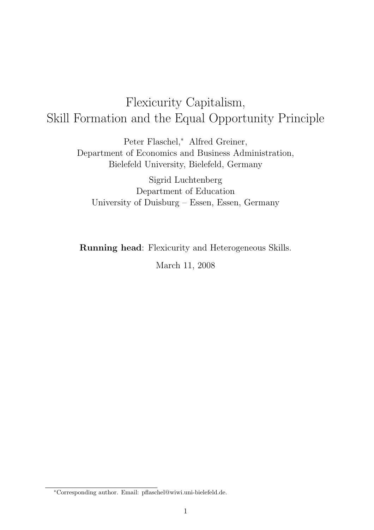# Flexicurity Capitalism, Skill Formation and the Equal Opportunity Principle

Peter Flaschel,<sup>∗</sup> Alfred Greiner, Department of Economics and Business Administration, Bielefeld University, Bielefeld, Germany

Sigrid Luchtenberg Department of Education University of Duisburg – Essen, Essen, Germany

Running head: Flexicurity and Heterogeneous Skills.

March 11, 2008

<sup>∗</sup>Corresponding author. Email: pflaschel@wiwi.uni-bielefeld.de.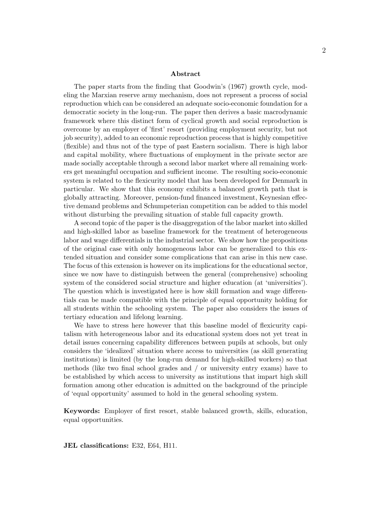#### Abstract

The paper starts from the finding that Goodwin's (1967) growth cycle, modeling the Marxian reserve army mechanism, does not represent a process of social reproduction which can be considered an adequate socio-economic foundation for a democratic society in the long-run. The paper then derives a basic macrodynamic framework where this distinct form of cyclical growth and social reproduction is overcome by an employer of 'first' resort (providing employment security, but not job security), added to an economic reproduction process that is highly competitive (flexible) and thus not of the type of past Eastern socialism. There is high labor and capital mobility, where fluctuations of employment in the private sector are made socially acceptable through a second labor market where all remaining workers get meaningful occupation and sufficient income. The resulting socio-economic system is related to the flexicurity model that has been developed for Denmark in particular. We show that this economy exhibits a balanced growth path that is globally attracting. Moreover, pension-fund financed investment, Keynesian effective demand problems and Schumpeterian competition can be added to this model without disturbing the prevailing situation of stable full capacity growth.

A second topic of the paper is the disaggregation of the labor market into skilled and high-skilled labor as baseline framework for the treatment of heterogeneous labor and wage differentials in the industrial sector. We show how the propositions of the original case with only homogeneous labor can be generalized to this extended situation and consider some complications that can arise in this new case. The focus of this extension is however on its implications for the educational sector, since we now have to distinguish between the general (comprehensive) schooling system of the considered social structure and higher education (at 'universities'). The question which is investigated here is how skill formation and wage differentials can be made compatible with the principle of equal opportunity holding for all students within the schooling system. The paper also considers the issues of tertiary education and lifelong learning.

We have to stress here however that this baseline model of flexicurity capitalism with heterogeneous labor and its educational system does not yet treat in detail issues concerning capability differences between pupils at schools, but only considers the 'idealized' situation where access to universities (as skill generating institutions) is limited (by the long-run demand for high-skilled workers) so that methods (like two final school grades and / or university entry exams) have to be established by which access to university as institutions that impart high skill formation among other education is admitted on the background of the principle of 'equal opportunity' assumed to hold in the general schooling system.

Keywords: Employer of first resort, stable balanced growth, skills, education, equal opportunities.

JEL classifications: E32, E64, H11.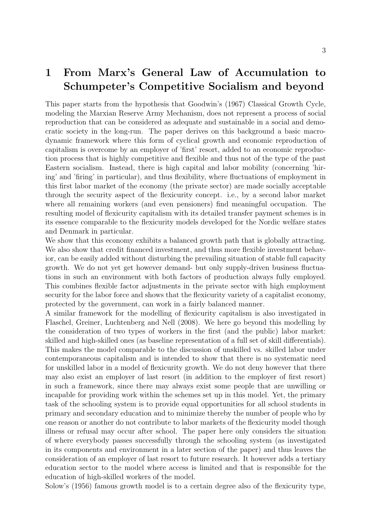## 1 From Marx's General Law of Accumulation to Schumpeter's Competitive Socialism and beyond

This paper starts from the hypothesis that Goodwin's (1967) Classical Growth Cycle, modeling the Marxian Reserve Army Mechanism, does not represent a process of social reproduction that can be considered as adequate and sustainable in a social and democratic society in the long-run. The paper derives on this background a basic macrodynamic framework where this form of cyclical growth and economic reproduction of capitalism is overcome by an employer of 'first' resort, added to an economic reproduction process that is highly competitive and flexible and thus not of the type of the past Eastern socialism. Instead, there is high capital and labor mobility (concerning 'hiring' and 'firing' in particular), and thus flexibility, where fluctuations of employment in this first labor market of the economy (the private sector) are made socially acceptable through the security aspect of the flexicurity concept. i.e., by a second labor market where all remaining workers (and even pensioners) find meaningful occupation. The resulting model of flexicurity capitalism with its detailed transfer payment schemes is in its essence comparable to the flexicurity models developed for the Nordic welfare states and Denmark in particular.

We show that this economy exhibits a balanced growth path that is globally attracting. We also show that credit financed investment, and thus more flexible investment behavior, can be easily added without disturbing the prevailing situation of stable full capacity growth. We do not yet get however demand- but only supply-driven business fluctuations in such an environment with both factors of production always fully employed. This combines flexible factor adjustments in the private sector with high employment security for the labor force and shows that the flexicurity variety of a capitalist economy, protected by the government, can work in a fairly balanced manner.

A similar framework for the modelling of flexicurity capitalism is also investigated in Flaschel, Greiner, Luchtenberg and Nell (2008). We here go beyond this modelling by the consideration of two types of workers in the first (and the public) labor market: skilled and high-skilled ones (as baseline representation of a full set of skill differentials). This makes the model comparable to the discussion of unskilled vs. skilled labor under contemporaneous capitalism and is intended to show that there is no systematic need for unskilled labor in a model of flexicurity growth. We do not deny however that there may also exist an employer of last resort (in addition to the employer of first resort) in such a framework, since there may always exist some people that are unwilling or incapable for providing work within the schemes set up in this model. Yet, the primary task of the schooling system is to provide equal opportunities for all school students in primary and secondary education and to minimize thereby the number of people who by one reason or another do not contribute to labor markets of the flexicurity model though illness or refusal may occur after school. The paper here only considers the situation of where everybody passes successfully through the schooling system (as investigated in its components and environment in a later section of the paper) and thus leaves the consideration of an employer of last resort to future research. It however adds a tertiary education sector to the model where access is limited and that is responsible for the education of high-skilled workers of the model.

Solow's (1956) famous growth model is to a certain degree also of the flexicurity type,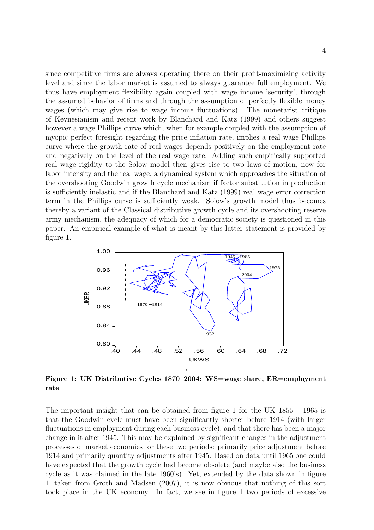since competitive firms are always operating there on their profit-maximizing activity level and since the labor market is assumed to always guarantee full employment. We thus have employment flexibility again coupled with wage income 'security', through the assumed behavior of firms and through the assumption of perfectly flexible money wages (which may give rise to wage income fluctuations). The monetarist critique of Keynesianism and recent work by Blanchard and Katz (1999) and others suggest however a wage Phillips curve which, when for example coupled with the assumption of myopic perfect foresight regarding the price inflation rate, implies a real wage Phillips curve where the growth rate of real wages depends positively on the employment rate and negatively on the level of the real wage rate. Adding such empirically supported real wage rigidity to the Solow model then gives rise to two laws of motion, now for labor intensity and the real wage, a dynamical system which approaches the situation of the overshooting Goodwin growth cycle mechanism if factor substitution in production is sufficiently inelastic and if the Blanchard and Katz (1999) real wage error correction term in the Phillips curve is sufficiently weak. Solow's growth model thus becomes thereby a variant of the Classical distributive growth cycle and its overshooting reserve army mechanism, the adequacy of which for a democratic society is questioned in this paper. An empirical example of what is meant by this latter statement is provided by figure 1.



Figure 1: UK Distributive Cycles 1870–2004: WS=wage share, ER=employment rate

The important insight that can be obtained from figure 1 for the UK 1855 – 1965 is that the Goodwin cycle must have been significantly shorter before 1914 (with larger fluctuations in employment during each business cycle), and that there has been a major change in it after 1945. This may be explained by significant changes in the adjustment processes of market economies for these two periods: primarily price adjustment before 1914 and primarily quantity adjustments after 1945. Based on data until 1965 one could have expected that the growth cycle had become obsolete (and maybe also the business cycle as it was claimed in the late 1960's). Yet, extended by the data shown in figure 1, taken from Groth and Madsen (2007), it is now obvious that nothing of this sort took place in the UK economy. In fact, we see in figure 1 two periods of excessive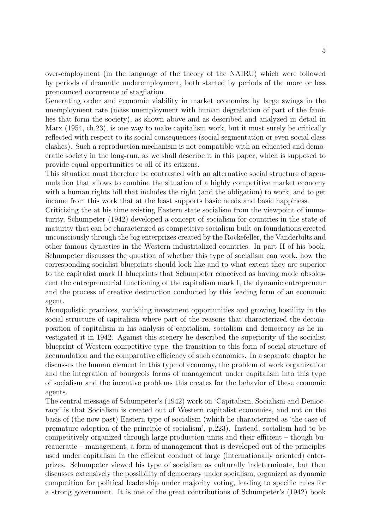over-employment (in the language of the theory of the NAIRU) which were followed by periods of dramatic underemployment, both started by periods of the more or less pronounced occurrence of stagflation.

Generating order and economic viability in market economies by large swings in the unemployment rate (mass unemployment with human degradation of part of the families that form the society), as shown above and as described and analyzed in detail in Marx (1954, ch.23), is one way to make capitalism work, but it must surely be critically reflected with respect to its social consequences (social segmentation or even social class clashes). Such a reproduction mechanism is not compatible with an educated and democratic society in the long-run, as we shall describe it in this paper, which is supposed to provide equal opportunities to all of its citizens.

This situation must therefore be contrasted with an alternative social structure of accumulation that allows to combine the situation of a highly competitive market economy with a human rights bill that includes the right (and the obligation) to work, and to get income from this work that at the least supports basic needs and basic happiness.

Criticizing the at his time existing Eastern state socialism from the viewpoint of immaturity, Schumpeter (1942) developed a concept of socialism for countries in the state of maturity that can be characterized as competitive socialism built on foundations erected unconsciously through the big enterprizes created by the Rockefeller, the Vanderbilts and other famous dynasties in the Western industrialized countries. In part II of his book, Schumpeter discusses the question of whether this type of socialism can work, how the corresponding socialist blueprints should look like and to what extent they are superior to the capitalist mark II blueprints that Schumpeter conceived as having made obsolescent the entrepreneurial functioning of the capitalism mark I, the dynamic entrepreneur and the process of creative destruction conducted by this leading form of an economic agent.

Monopolistic practices, vanishing investment opportunities and growing hostility in the social structure of capitalism where part of the reasons that characterized the decomposition of capitalism in his analysis of capitalism, socialism and democracy as he investigated it in 1942. Against this scenery he described the superiority of the socialist blueprint of Western competitive type, the transition to this form of social structure of accumulation and the comparative efficiency of such economies. In a separate chapter he discusses the human element in this type of economy, the problem of work organization and the integration of bourgeois forms of management under capitalism into this type of socialism and the incentive problems this creates for the behavior of these economic agents.

The central message of Schumpeter's (1942) work on 'Capitalism, Socialism and Democracy' is that Socialism is created out of Western capitalist economies, and not on the basis of (the now past) Eastern type of socialism (which he characterized as 'the case of premature adoption of the principle of socialism', p.223). Instead, socialism had to be competitively organized through large production units and their efficient – though bureaucratic – management, a form of management that is developed out of the principles used under capitalism in the efficient conduct of large (internationally oriented) enterprizes. Schumpeter viewed his type of socialism as culturally indeterminate, but then discusses extensively the possibility of democracy under socialism, organized as dynamic competition for political leadership under majority voting, leading to specific rules for a strong government. It is one of the great contributions of Schumpeter's (1942) book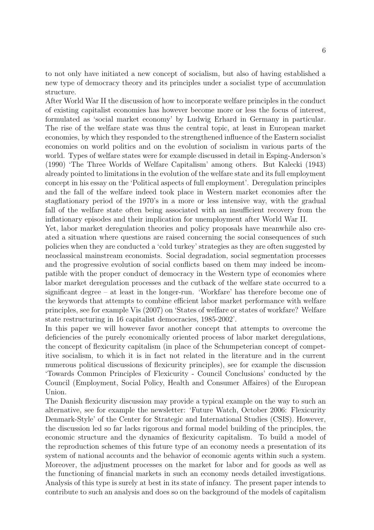to not only have initiated a new concept of socialism, but also of having established a new type of democracy theory and its principles under a socialist type of accumulation structure.

After World War II the discussion of how to incorporate welfare principles in the conduct of existing capitalist economies has however become more or less the focus of interest, formulated as 'social market economy' by Ludwig Erhard in Germany in particular. The rise of the welfare state was thus the central topic, at least in European market economies, by which they responded to the strengthened influence of the Eastern socialist economies on world politics and on the evolution of socialism in various parts of the world. Types of welfare states were for example discussed in detail in Esping-Anderson's (1990) 'The Three Worlds of Welfare Capitalism' among others. But Kalecki (1943) already pointed to limitations in the evolution of the welfare state and its full employment concept in his essay on the 'Political aspects of full employment'. Deregulation principles and the fall of the welfare indeed took place in Western market economies after the stagflationary period of the 1970's in a more or less intensive way, with the gradual fall of the welfare state often being associated with an insufficient recovery from the inflationary episodes and their implication for unemployment after World War II.

Yet, labor market deregulation theories and policy proposals have meanwhile also created a situation where questions are raised concerning the social consequences of such policies when they are conducted a 'cold turkey' strategies as they are often suggested by neoclassical mainstream economists. Social degradation, social segmentation processes and the progressive evolution of social conflicts based on them may indeed be incompatible with the proper conduct of democracy in the Western type of economies where labor market deregulation processes and the cutback of the welfare state occurred to a significant degree – at least in the longer-run. 'Workfare' has therefore become one of the keywords that attempts to combine efficient labor market performance with welfare principles, see for example Vis (2007) on 'States of welfare or states of workfare? Welfare state restructuring in 16 capitalist democracies, 1985-2002'.

In this paper we will however favor another concept that attempts to overcome the deficiencies of the purely economically oriented process of labor market deregulations, the concept of flexicurity capitalism (in place of the Schumpeterian concept of competitive socialism, to which it is in fact not related in the literature and in the current numerous political discussions of flexicurity principles), see for example the discussion 'Towards Common Principles of Flexicurity - Council Conclusions' conducted by the Council (Employment, Social Policy, Health and Consumer Affaires) of the European Union.

The Danish flexicurity discussion may provide a typical example on the way to such an alternative, see for example the newsletter: 'Future Watch, October 2006: Flexicurity Denmark-Style' of the Center for Strategic and International Studies (CSIS). However, the discussion led so far lacks rigorous and formal model building of the principles, the economic structure and the dynamics of flexicurity capitalism. To build a model of the reproduction schemes of this future type of an economy needs a presentation of its system of national accounts and the behavior of economic agents within such a system. Moreover, the adjustment processes on the market for labor and for goods as well as the functioning of financial markets in such an economy needs detailed investigations. Analysis of this type is surely at best in its state of infancy. The present paper intends to contribute to such an analysis and does so on the background of the models of capitalism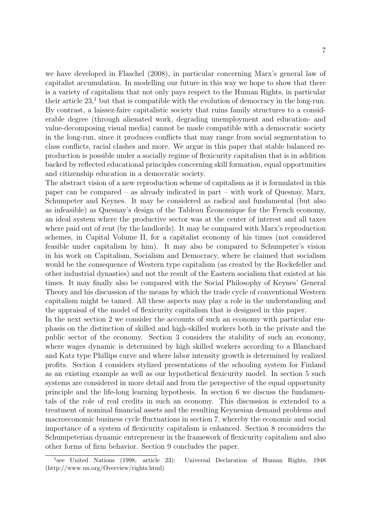we have developed in Flaschel (2008), in particular concerning Marx's general law of capitalist accumulation. In modelling our future in this way we hope to show that there is a variety of capitalism that not only pays respect to the Human Rights, in particular their article  $23<sup>1</sup>$  but that is compatible with the evolution of democracy in the long-run. By contrast, a laissez-faire capitalistic society that ruins family structures to a considerable degree (through alienated work, degrading unemployment and education- and value-decomposing visual media) cannot be made compatible with a democratic society in the long-run, since it produces conflicts that may range from social segmentation to class conflicts, racial clashes and more. We argue in this paper that stable balanced reproduction is possible under a socially regime of flexicurity capitalism that is in addition backed by reflected educational principles concerning skill formation, equal opportunities and citizenship education in a democratic society.

The abstract vision of a new reproduction scheme of capitalism as it is formulated in this paper can be compared – as already indicated in part – with work of Quesnay, Marx, Schumpeter and Keynes. It may be considered as radical and fundamental (but also as infeasible) as Quesnay's design of the Tableau Economique for the French economy, ´ an ideal system where the productive sector was at the center of interest and all taxes where paid out of rent (by the landlords). It may be compared with Marx's reproduction schemes, in Capital Volume II, for a capitalist economy of his times (not considered feasible under capitalism by him). It may also be compared to Schumpeter's vision in his work on Capitalism, Socialism and Democracy, where he claimed that socialism would be the consequence of Western type capitalism (as created by the Rockefeller and other industrial dynasties) and not the result of the Eastern socialism that existed at his times. It may finally also be compared with the Social Philosophy of Keynes' General Theory and his discussion of the means by which the trade cycle of conventional Western capitalism might be tamed. All these aspects may play a role in the understanding and the appraisal of the model of flexicurity capitalism that is designed in this paper.

In the next section 2 we consider the accounts of such an economy with particular emphasis on the distinction of skilled and high-skilled workers both in the private and the public sector of the economy. Section 3 considers the stability of such an economy, where wages dynamic is determined by high skilled workers according to a Blanchard and Katz type Phillips curve and where labor intensity growth is determined by realized profits. Section 4 considers stylized presentations of the schooling system for Finland as an existing example as well as our hypothetical flexicurity model. In section 5 such systems are considered in more detail and from the perspective of the equal opportunity principle and the life-long learning hypothesis. In section 6 we discuss the fundamentals of the role of real credits in such an economy. This discussion is extended to a treatment of nominal financial assets and the resulting Keynesian demand problems and macroeconomic business cycle fluctuations in section 7, whereby the economic and social importance of a system of flexicurity capitalism is enhanced. Section 8 reconsiders the Schumpeterian dynamic entrepreneur in the framework of flexicurity capitalism and also other forms of firm behavior. Section 9 concludes the paper.

<sup>&</sup>lt;sup>1</sup>see United Nations  $(1998, \text{article } 23)$ : Universal Declaration of Human Rights, 1948 (http://www.un.org/Overview/rights.html)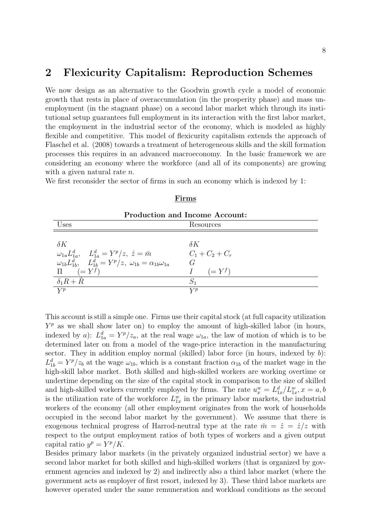### 2 Flexicurity Capitalism: Reproduction Schemes

We now design as an alternative to the Goodwin growth cycle a model of economic growth that rests in place of overaccumulation (in the prosperity phase) and mass unemployment (in the stagnant phase) on a second labor market which through its institutional setup guarantees full employment in its interaction with the first labor market, the employment in the industrial sector of the economy, which is modeled as highly flexible and competitive. This model of flexicurity capitalism extends the approach of Flaschel et al. (2008) towards a treatment of heterogeneous skills and the skill formation processes this requires in an advanced macroeconomy. In the basic framework we are considering an economy where the workforce (and all of its components) are growing with a given natural rate *n*.

We first reconsider the sector of firms in such an economy which is indexed by 1:

| Production and Income Account:                                                                                                                            |                   |  |
|-----------------------------------------------------------------------------------------------------------------------------------------------------------|-------------------|--|
| Uses                                                                                                                                                      | Resources         |  |
|                                                                                                                                                           |                   |  |
| $\delta K$                                                                                                                                                | $\delta K$        |  |
| $\omega_{1a} L_{1a}^d$ , $L_{1a}^d = Y^p/z$ , $\hat{z} = \bar{m}$<br>$\omega_{1b} L_{1b}^d$ , $L_{1b}^d = Y^p/z$ , $\omega_{1b} = \alpha_{1b}\omega_{1a}$ | $C_1 + C_2 + C_r$ |  |
|                                                                                                                                                           |                   |  |
| $\Pi$ $(=Y^f)$                                                                                                                                            | $(=Y^f)$          |  |
| $\delta_1 R + R$                                                                                                                                          | $S_1$             |  |
| $V^p$                                                                                                                                                     | $V^p$             |  |

#### Firms

This account is still a simple one. Firms use their capital stock (at full capacity utilization  $Y^p$  as we shall show later on) to employ the amount of high-skilled labor (in hours, indexed by a):  $L_{1a}^d = Y^p/z_a$ , at the real wage  $\omega_{1a}$ , the law of motion of which is to be determined later on from a model of the wage-price interaction in the manufacturing sector. They in addition employ normal (skilled) labor force (in hours, indexed by  $b$ ):  $L_{1b}^{d} = Y^{p}/z_{b}$  at the wage  $\omega_{1b}$ , which is a constant fraction  $\alpha_{1b}$  of the market wage in the high-skill labor market. Both skilled and high-skilled workers are working overtime or undertime depending on the size of the capital stock in comparison to the size of skilled and high-skilled workers currently employed by firms. The rate  $u_x^w = L_{1x}^d/L_{1x}^w, x = a, b$ is the utilization rate of the workforce  $L_{1x}^w$  in the primary labor markets, the industrial workers of the economy (all other employment originates from the work of households occupied in the second labor market by the government). We assume that there is exogenous technical progress of Harrod-neutral type at the rate  $\bar{m} = \hat{z} = \dot{z}/z$  with respect to the output employment ratios of both types of workers and a given output capital ratio  $y^p = Y^p/K$ .

Besides primary labor markets (in the privately organized industrial sector) we have a second labor market for both skilled and high-skilled workers (that is organized by government agencies and indexed by 2) and indirectly also a third labor market (where the government acts as employer of first resort, indexed by 3). These third labor markets are however operated under the same remuneration and workload conditions as the second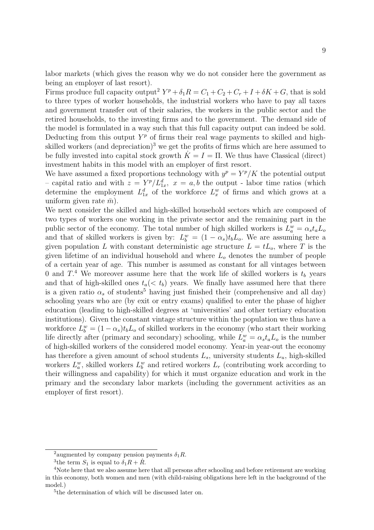labor markets (which gives the reason why we do not consider here the government as being an employer of last resort).

Firms produce full capacity output<sup>2</sup>  $Y^p + \delta_1 R = C_1 + C_2 + C_r + I + \delta K + G$ , that is sold to three types of worker households, the industrial workers who have to pay all taxes and government transfer out of their salaries, the workers in the public sector and the retired households, to the investing firms and to the government. The demand side of the model is formulated in a way such that this full capacity output can indeed be sold. Deducting from this output  $Y^p$  of firms their real wage payments to skilled and highskilled workers (and depreciation)<sup>3</sup> we get the profits of firms which are here assumed to be fully invested into capital stock growth  $K = I = \Pi$ . We thus have Classical (direct) investment habits in this model with an employer of first resort.

We have assumed a fixed proportions technology with  $y^p = Y^p/K$  the potential output – capital ratio and with  $z = Y^p/L_{1x}^d$ ,  $x = a, b$  the output - labor time ratios (which determine the employment  $L_{1x}^d$  of the workforce  $L_x^w$  of firms and which grows at a uniform given rate  $\bar{m}$ ).

We next consider the skilled and high-skilled household sectors which are composed of two types of workers one working in the private sector and the remaining part in the public sector of the economy. The total number of high skilled workers is  $L_a^w = \alpha_s t_a L_o$ and that of skilled workers is given by:  $L_b^w = (1 - \alpha_s)t_bL_o$ . We are assuming here a given population L with constant deterministic age structure  $L = tL_o$ , where T is the given lifetime of an individual household and where  $L<sub>o</sub>$  denotes the number of people of a certain year of age. This number is assumed as constant for all vintages between 0 and  $T^4$ . We moreover assume here that the work life of skilled workers is  $t_b$  years and that of high-skilled ones  $t_a \ll t_b$ ) years. We finally have assumed here that there is a given ratio  $\alpha_s$  of students<sup>5</sup> having just finished their (comprehensive and all day) schooling years who are (by exit or entry exams) qualified to enter the phase of higher education (leading to high-skilled degrees at 'universities' and other tertiary education institutions). Given the constant vintage structure within the population we thus have a workforce  $L_b^w = (1 - \alpha_s)t_bL_o$  of skilled workers in the economy (who start their working life directly after (primary and secondary) schooling, while  $L_a^w = \alpha_s t_a L_o$  is the number of high-skilled workers of the considered model economy. Year-in year-out the economy has therefore a given amount of school students  $L_s$ , university students  $L_u$ , high-skilled workers  $L_a^w$ , skilled workers  $L_b^w$  and retired workers  $L_r$  (contributing work according to their willingness and capability) for which it must organize education and work in the primary and the secondary labor markets (including the government activities as an employer of first resort).

<sup>&</sup>lt;sup>2</sup>augmented by company pension payments  $\delta_1 R$ .

<sup>&</sup>lt;sup>3</sup>the term  $S_1$  is equal to  $\delta_1 R + \dot{R}$ .

<sup>4</sup>Note here that we also assume here that all persons after schooling and before retirement are working in this economy, both women and men (with child-raising obligations here left in the background of the model.)

<sup>5</sup> the determination of which will be discussed later on.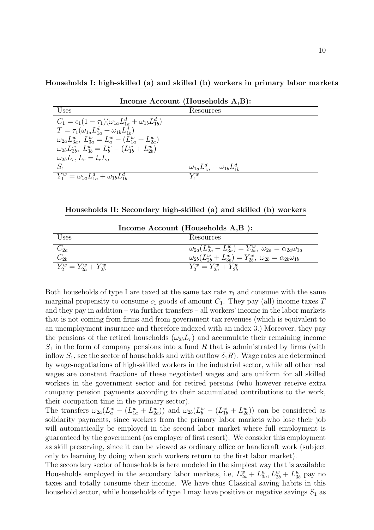Households I: high-skilled (a) and skilled (b) workers in primary labor markets

| Income Account (Households A,B):                                   |                                             |  |
|--------------------------------------------------------------------|---------------------------------------------|--|
| Uses                                                               | Resources                                   |  |
| $C_1 = c_1(1-\tau_1)(\omega_{1a}L_{1a}^d + \omega_{1b}L_{1b}^d)$   |                                             |  |
| $T = \tau_1(\omega_{1a}L_{1a}^d + \omega_{1b}L_{1b}^d)$            |                                             |  |
| $\omega_{2a}L_{3a}^w$ , $L_{3a}^w = L_a^w - (L_{1a}^w + L_{2a}^w)$ |                                             |  |
| $\omega_{2b}L_{3b}^w$ , $L_{3b}^w = L_b^w - (L_{1b}^w + L_{2b}^w)$ |                                             |  |
| $\omega_{2b}L_r, L_r = t_rL_o$                                     |                                             |  |
| $S_1$                                                              | $\omega_{1a}L_{1a}^d + \omega_{1b}L_{1b}^d$ |  |
| $Y_1^w = \omega_{1a} L_{1a}^d + \omega_{1b} L_{1b}^d$              | $Y^w_\mathbf{n}$                            |  |

Households II: Secondary high-skilled (a) and skilled (b) workers

| Income Account (Households A,B): |                                                                                        |
|----------------------------------|----------------------------------------------------------------------------------------|
| Uses                             | Resources                                                                              |
| $C_{2a}$                         | $\omega_{2a}(L_{2a}^w + L_{3a}^w) = Y_{2a}^w$ , $\omega_{2a} = \alpha_{2a}\omega_{1a}$ |
| $C_{2b}$                         | $\omega_{2b}(L_{2b}^w + L_{3b}^w) = Y_{2b}^w, \ \omega_{2b} = \alpha_{2b}\omega_{1b}$  |
| $Y_2^w = Y_{2a}^w + Y_{2b}^w$    | $Y_2^w = Y_{2a}^w + Y_{2b}^w$                                                          |

Both households of type I are taxed at the same tax rate  $\tau_1$  and consume with the same marginal propensity to consume  $c_1$  goods of amount  $C_1$ . They pay (all) income taxes T and they pay in addition – via further transfers – all workers' income in the labor markets that is not coming from firms and from government tax revenues (which is equivalent to an unemployment insurance and therefore indexed with an index 3.) Moreover, they pay the pensions of the retired households  $(\omega_{2b}L_r)$  and accumulate their remaining income  $S_1$  in the form of company pensions into a fund R that is administrated by firms (with inflow  $S_1$ , see the sector of households and with outflow  $\delta_1 R$ ). Wage rates are determined by wage-negotiations of high-skilled workers in the industrial sector, while all other real wages are constant fractions of these negotiated wages and are uniform for all skilled workers in the government sector and for retired persons (who however receive extra company pension payments according to their accumulated contributions to the work, their occupation time in the primary sector).

The transfers  $\omega_{2a}(L_a^w - (L_{1a}^w + L_{2a}^w))$  and  $\omega_{2b}(L_b^w - (L_{1b}^w + L_{2b}^w))$  can be considered as solidarity payments, since workers from the primary labor markets who lose their job will automatically be employed in the second labor market where full employment is guaranteed by the government (as employer of first resort). We consider this employment as skill preserving, since it can be viewed as ordinary office or handicraft work (subject only to learning by doing when such workers return to the first labor market).

The secondary sector of households is here modeled in the simplest way that is available: Households employed in the secondary labor markets, i.e,  $L_{2a}^w + L_{3a}^w$ ,  $L_{2b}^w + L_{3b}^w$  pay no taxes and totally consume their income. We have thus Classical saving habits in this household sector, while households of type I may have positive or negative savings  $S_1$  as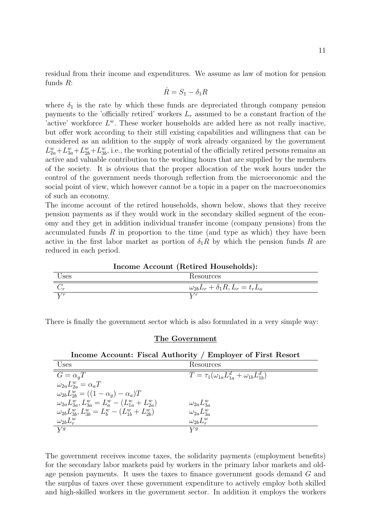residual from their income and expenditures. We assume as law of motion for pension funds  $R$ :

$$
\dot{R} = S_1 - \delta_1 R
$$

where  $\delta_1$  is the rate by which these funds are depreciated through company pension payments to the 'officially retired' workers  $L_r$  assumed to be a constant fraction of the 'active' workforce  $L^w$ . These worker households are added here as not really inactive, but offer work according to their still existing capabilities and willingness that can be considered as an addition to the supply of work already organized by the government  $L_{2a}^w + L_{3a}^w + L_{2b}^w + L_{3b}^w$ , i.e., the working potential of the officially retired persons remains an active and valuable contribution to the working hours that are supplied by the members of the society. It is obvious that the proper allocation of the work hours under the control of the government needs thorough reflection from the microeconomic and the social point of view, which however cannot be a topic in a paper on the macroeconomics of such an economy.

The income account of the retired households, shown below, shows that they receive pension payments as if they would work in the secondary skilled segment of the economy and they get in addition individual transfer income (company pensions) from the accumulated funds R in proportion to the time (and type as which) they have been active in the first labor market as portion of  $\delta_1 R$  by which the pension funds R are reduced in each period.

| Income Account (Retired Households): |                                        |
|--------------------------------------|----------------------------------------|
| Uses                                 | Resources                              |
|                                      | $\omega_{2b}L_r+\delta_1R, L_r=t_rL_o$ |
| $V^{r}$                              |                                        |

There is finally the government sector which is also formulated in a very simple way:

#### The Government

| Uses                                                               | Resources                                               |
|--------------------------------------------------------------------|---------------------------------------------------------|
| $G = \alpha_q T$                                                   | $T = \tau_1(\omega_{1a}L_{1a}^d + \omega_{1b}L_{1b}^d)$ |
| $\omega_{2a}L_{2a}^w = \alpha_a T$                                 |                                                         |
| $\omega_{2b}L_{2b}^w = ((1-\alpha_q)-\alpha_a)T$                   |                                                         |
| $\omega_{2a}L_{3a}^w, L_{3a}^w = L_a^w - (L_{1a}^w + L_{2a}^w)$    | $\omega_{2a}L_{3a}^w$                                   |
| $\omega_{2b}L_{3b}^w$ , $L_{3b}^w = L_b^w - (L_{1b}^w + L_{2b}^w)$ | $\omega_{2a}L_{3a}^w$                                   |
| $\omega_{2b}L_r^w$                                                 | $\omega_{2b}L_r^w$                                      |
| $Y^g$                                                              | $V^g$                                                   |

The government receives income taxes, the solidarity payments (employment benefits) for the secondary labor markets paid by workers in the primary labor markets and oldage pension payments. It uses the taxes to finance government goods demand G and the surplus of taxes over these government expenditure to actively employ both skilled and high-skilled workers in the government sector. In addition it employs the workers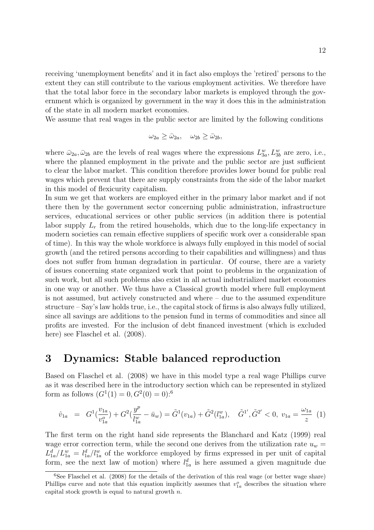receiving 'unemployment benefits' and it in fact also employs the 'retired' persons to the extent they can still contribute to the various employment activities. We therefore have that the total labor force in the secondary labor markets is employed through the government which is organized by government in the way it does this in the administration of the state in all modern market economies.

We assume that real wages in the public sector are limited by the following conditions

$$
\omega_{2a} \ge \bar{\omega}_{2a}, \quad \omega_{2b} \ge \bar{\omega}_{2b},
$$

where  $\bar{\omega}_{2a}, \bar{\omega}_{2b}$  are the levels of real wages where the expressions  $L_{3a}^w, L_{3b}^w$  are zero, i.e., where the planned employment in the private and the public sector are just sufficient to clear the labor market. This condition therefore provides lower bound for public real wages which prevent that there are supply constraints from the side of the labor market in this model of flexicurity capitalism.

In sum we get that workers are employed either in the primary labor market and if not there then by the government sector concerning public administration, infrastructure services, educational services or other public services (in addition there is potential labor supply  $L_r$  from the retired households, which due to the long-life expectancy in modern societies can remain effective suppliers of specific work over a considerable span of time). In this way the whole workforce is always fully employed in this model of social growth (and the retired persons according to their capabilities and willingness) and thus does not suffer from human degradation in particular. Of course, there are a variety of issues concerning state organized work that point to problems in the organization of such work, but all such problems also exist in all actual industrialized market economies in one way or another. We thus have a Classical growth model where full employment is not assumed, but actively constructed and where – due to the assumed expenditure structure – Say's law holds true, i.e., the capital stock of firms is also always fully utilized, since all savings are additions to the pension fund in terms of commodities and since all profits are invested. For the inclusion of debt financed investment (which is excluded here) see Flaschel et al. (2008).

## 3 Dynamics: Stable balanced reproduction

Based on Flaschel et al. (2008) we have in this model type a real wage Phillips curve as it was described here in the introductory section which can be represented in stylized form as follows  $(G^1(1) = 0, G^2(0) = 0)$ :<sup>6</sup>

$$
\hat{v}_{1a} = G^1(\frac{v_{1a}}{v_{1a}^o}) + G^2(\frac{y^p}{l_{1a}^w} - \bar{u}_w) = \tilde{G}^1(v_{1a}) + \tilde{G}^2(l_{1a}^w), \quad \tilde{G}^1', \tilde{G}^2' < 0, \ v_{1a} = \frac{\omega_{1a}}{z} \tag{1}
$$

The first term on the right hand side represents the Blanchard and Katz (1999) real wage error correction term, while the second one derives from the utilization rate  $u_w =$  $L_{1a}^d/L_{1a}^w = l_{1a}^d/l_{1a}^w$  of the workforce employed by firms expressed in per unit of capital form, see the next law of motion) where  $l_{1a}^d$  is here assumed a given magnitude due

<sup>&</sup>lt;sup>6</sup>See Flaschel et al. (2008) for the details of the derivation of this real wage (or better wage share) Phillips curve and note that this equation implicitly assumes that  $v_{1a}^o$  describes the situation where capital stock growth is equal to natural growth  $n$ .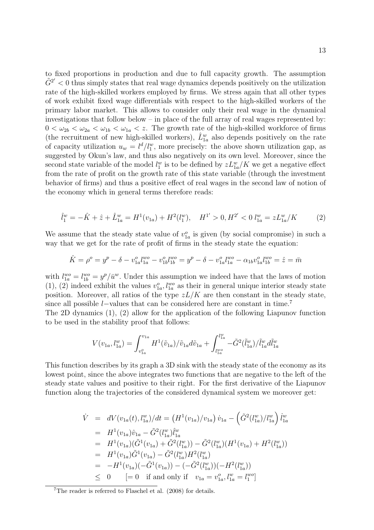to fixed proportions in production and due to full capacity growth. The assumption  $\tilde{G}^{2'}$  < 0 thus simply states that real wage dynamics depends positively on the utilization rate of the high-skilled workers employed by firms. We stress again that all other types of work exhibit fixed wage differentials with respect to the high-skilled workers of the primary labor market. This allows to consider only their real wage in the dynamical investigations that follow below – in place of the full array of real wages represented by:  $0 < \omega_{2b} < \omega_{2a} < \omega_{1b} < \omega_{1a} < z$ . The growth rate of the high-skilled workforce of firms (the recruitment of new high-skilled workers),  $\hat{L}_{1a}^w$  also depends positively on the rate of capacity utilization  $u_w = l^d / l_1^w$ , more precisely: the above shown utilization gap, as suggested by Okun's law, and thus also negatively on its own level. Moreover, since the second state variable of the model  $l_1^w$  is to be defined by  $zL_{1a}^w/K$  we get a negative effect from the rate of profit on the growth rate of this state variable (through the investment behavior of firms) and thus a positive effect of real wages in the second law of notion of the economy which in general terms therefore reads:

$$
\hat{l}_1^w = -\hat{K} + \hat{z} + \hat{L}_{1a}^w = H^1(v_{1a}) + H^2(l_1^w), \quad H^{1'} > 0, H^{2'} < 0 \quad l_{1a}^w = zL_{1a}^w/K \tag{2}
$$

We assume that the steady state value of  $v_{1a}^o$  is given (by social compromise) in such a way that we get for the rate of profit of firms in the steady state the equation:

$$
\hat{K} = \rho^o = y^p - \delta - v_{1a}^o l_{1a}^{wo} - v_{1b}^o l_{1b}^{wo} = y^p - \delta - v_{1a}^o l_{1a}^{wo} - \alpha_{1b} v_{1a}^o l_{1b}^{wo} = \hat{z} = \bar{m}
$$

with  $l_{1a}^{wo} = l_{1b}^{wo} = y^p / \bar{u}^w$ . Under this assumption we indeed have that the laws of motion (1), (2) indeed exhibit the values  $v_{1a}^o$ ,  $l_{1a}^{wo}$  as their in general unique interior steady state position. Moreover, all ratios of the type  $zL/K$  are then constant in the steady state, since all possible *l*−values that can be considered here are constant in time.<sup>7</sup>

The 2D dynamics (1), (2) allow for the application of the following Liapunov function to be used in the stability proof that follows:

$$
V(v_{1a}, l_{1a}^w) = \int_{v_{1a}^o}^{v_{1a}} H^1(\tilde{v}_{1a}) / \tilde{v}_{1a} d\tilde{v}_{1a} + \int_{l_{1a}^{wo}}^{l_{1a}^{w}} -\tilde{G}^2(\tilde{l}_{1a}^w) / \tilde{l}_{1a}^w d\tilde{l}_{1a}^w
$$

This function describes by its graph a 3D sink with the steady state of the economy as its lowest point, since the above integrates two functions that are negative to the left of the steady state values and positive to their right. For the first derivative of the Liapunov function along the trajectories of the considered dynamical system we moreover get:

$$
\dot{V} = dV(v_{1a}(t), l_{1a}^{w})/dt = (H^{1}(v_{1a})/v_{1a}) \dot{v}_{1a} - (\tilde{G}^{2}(l_{1a}^{w})/l_{1a}^{w}) \dot{l}_{1a}^{w}
$$
\n
$$
= H^{1}(v_{1a})\hat{v}_{1a} - \tilde{G}^{2}(l_{1a}^{w})\hat{l}_{1a}^{w}
$$
\n
$$
= H^{1}(v_{1a})(\tilde{G}^{1}(v_{1a}) + \tilde{G}^{2}(l_{1a}^{w})) - \tilde{G}^{2}(l_{1a}^{w})(H^{1}(v_{1a}) + H^{2}(l_{1a}^{w}))
$$
\n
$$
= H^{1}(v_{1a})\tilde{G}^{1}(v_{1a}) - \tilde{G}^{2}(l_{1a}^{w})H^{2}(l_{1a}^{w})
$$
\n
$$
= -H^{1}(v_{1a})(-\tilde{G}^{1}(v_{1a})) - (-\tilde{G}^{2}(l_{1a}^{w}))(-H^{2}(l_{1a}^{w}))
$$
\n
$$
\leq 0 \qquad [ = 0 \quad \text{if and only if} \quad v_{1a} = v_{1a}^{o}, l_{1a}^{w} = l_{1a}^{wo}]
$$

<sup>7</sup>The reader is referred to Flaschel et al. (2008) for details.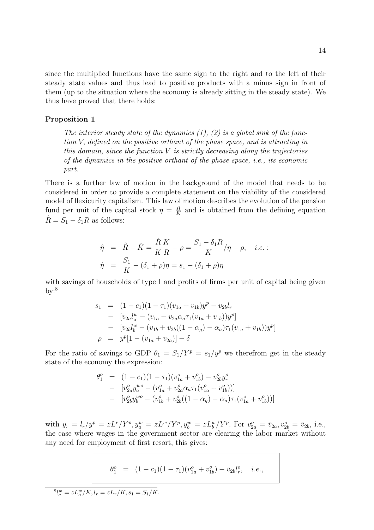since the multiplied functions have the same sign to the right and to the left of their steady state values and thus lead to positive products with a minus sign in front of them (up to the situation where the economy is already sitting in the steady state). We thus have proved that there holds:

#### Proposition 1

The interior steady state of the dynamics  $(1)$ ,  $(2)$  is a global sink of the function V, defined on the positive orthant of the phase space, and is attracting in this domain, since the function  $V$  is strictly decreasing along the trajectories of the dynamics in the positive orthant of the phase space, i.e., its economic part.

There is a further law of motion in the background of the model that needs to be considered in order to provide a complete statement on the viability of the considered model of flexicurity capitalism. This law of motion describes the evolution of the pension fund per unit of the capital stock  $\eta = \frac{R}{K}$  $\frac{R}{K}$  and is obtained from the defining equation  $\dot{R} = S_1 - \delta_1 R$  as follows:

$$
\begin{aligned}\n\hat{\eta} &= \hat{R} - \hat{K} = \frac{\dot{R}}{K} \frac{K}{R} - \rho = \frac{S_1 - \delta_1 R}{K} / \eta - \rho, \quad i.e. : \\
\dot{\eta} &= \frac{S_1}{K} - (\delta_1 + \rho)\eta = s_1 - (\delta_1 + \rho)\eta\n\end{aligned}
$$

with savings of households of type I and profits of firms per unit of capital being given  $\rm{by:}^8$ 

$$
s_1 = (1 - c_1)(1 - \tau_1)(v_{1a} + v_{1b})y^p - v_{2b}l_r
$$
  
\n
$$
- [v_{2a}l_a^w - (v_{1a} + v_{2a}\alpha_a\tau_1(v_{1a} + v_{1b}))y^p]
$$
  
\n
$$
- [v_{2b}l_b^w - (v_{1b} + v_{2b}((1 - \alpha_g) - \alpha_a)\tau_1(v_{1a} + v_{1b}))y^p]
$$
  
\n
$$
\rho = y^p[1 - (v_{1a} + v_{2a})] - \delta
$$

For the ratio of savings to GDP  $\theta_1 = S_1/Y^p = s_1/y^p$  we therefrom get in the steady state of the economy the expression:

$$
\begin{array}{rcl}\n\theta_1^o & = & \left(1 - c_1\right)\left(1 - \tau_1\right)\left(v_{1a}^o + v_{1b}^o\right) - v_{2b}^o y_r^o \\
& - & \left[v_{2a}^o y_a^{wo} - \left(v_{1a}^o + v_{2a}^o \alpha_a \tau_1 \left(v_{1a}^o + v_{1b}^o\right)\right)\right] \\
& - & \left[v_{2b}^o y_b^{wo} - \left(v_{1b}^o + v_{2b}^o \left(\left(1 - \alpha_g\right) - \alpha_a\right) \tau_1 \left(v_{1a}^o + v_{1b}^o\right)\right)\right]\n\end{array}
$$

with  $y_r = l_r/y^p = zL^r/Y^p$ ,  $y_a^w = zL^w/Y^p$ ,  $y_b^w = zL_b^w/Y^p$ . For  $v_{2a}^o = \bar{v}_{2a}$ ,  $v_{2b}^o = \bar{v}_{2b}$ , i.e., the case where wages in the government sector are clearing the labor market without any need for employment of first resort, this gives:

$$
\theta_1^o = (1 - c_1)(1 - \tau_1)(v_{1a}^o + v_{1b}^o) - \bar{v}_{2b}l_r^o, \quad i.e.,
$$

 ${}^8l_a^w = zL_a^w/K, l_r = zL_r/K, s_1 = S_1/K.$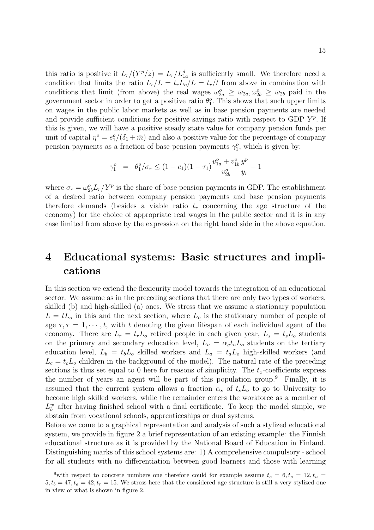this ratio is positive if  $L_r/(Y^p/z) = L_r/L_{1a}^d$  is sufficiently small. We therefore need a condition that limits the ratio  $L_r/L = t_rL_o/L = t_r/t$  from above in combination with conditions that limit (from above) the real wages  $\omega_{2a}^o \ge \bar{\omega}_{2a}, \omega_{2b}^o \ge \bar{\omega}_{2b}$  paid in the government sector in order to get a positive ratio  $\theta_1^o$ . This shows that such upper limits on wages in the public labor markets as well as in base pension payments are needed and provide sufficient conditions for positive savings ratio with respect to GDP  $Y^p$ . If this is given, we will have a positive steady state value for company pension funds per unit of capital  $\eta^o = s_1^o/(\delta_1 + \bar{m})$  and also a positive value for the percentage of company pension payments as a fraction of base pension payments  $\gamma_1^o$ , which is given by:

$$
\gamma_1^o = \theta_1^o / \sigma_r \le (1 - c_1)(1 - \tau_1) \frac{v_{1a}^o + v_{1b}^o}{v_{2b}^o} \frac{y^p}{y_r} - 1
$$

where  $\sigma_r = \omega_{2b}^o L_r/Y^p$  is the share of base pension payments in GDP. The establishment of a desired ratio between company pension payments and base pension payments therefore demands (besides a viable ratio  $t_r$  concerning the age structure of the economy) for the choice of appropriate real wages in the public sector and it is in any case limited from above by the expression on the right hand side in the above equation.

## 4 Educational systems: Basic structures and implications

In this section we extend the flexicurity model towards the integration of an educational sector. We assume as in the preceding sections that there are only two types of workers, skilled (b) and high-skilled (a) ones. We stress that we assume a stationary population  $L = tL<sub>o</sub>$  in this and the next section, where  $L<sub>o</sub>$  is the stationary number of people of age  $\tau, \tau = 1, \dots, t$ , with t denoting the given lifespan of each individual agent of the economy. There are  $L_r = t_r L_o$  retired people in each given year,  $L_s = t_s L_o$  students on the primary and secondary education level,  $L_u = \alpha_q t_u L_o$  students on the tertiary education level,  $L_b = t_b L_o$  skilled workers and  $L_a = t_a L_o$  high-skilled workers (and  $L_c = t_c L_o$  children in the background of the model). The natural rate of the preceding sections is thus set equal to 0 here for reasons of simplicity. The  $t_x$ -coefficients express the number of years an agent will be part of this population group.<sup>9</sup> Finally, it is assumed that the current system allows a fraction  $\alpha_s$  of  $t_sL_o$  to go to University to become high skilled workers, while the remainder enters the workforce as a member of  $L_b^w$  after having finished school with a final certificate. To keep the model simple, we abstain from vocational schools, apprenticeships or dual systems.

Before we come to a graphical representation and analysis of such a stylized educational system, we provide in figure 2 a brief representation of an existing example: the Finnish educational structure as it is provided by the National Board of Education in Finland. Distinguishing marks of this school systems are: 1) A comprehensive compulsory - school for all students with no differentiation between good learners and those with learning

<sup>&</sup>lt;sup>9</sup>with respect to concrete numbers one therefore could for example assume  $t_c = 6, t_s = 12, t_u =$  $5, t_b = 47, t_a = 42, t_r = 15$ . We stress here that the considered age structure is still a very stylized one in view of what is shown in figure 2.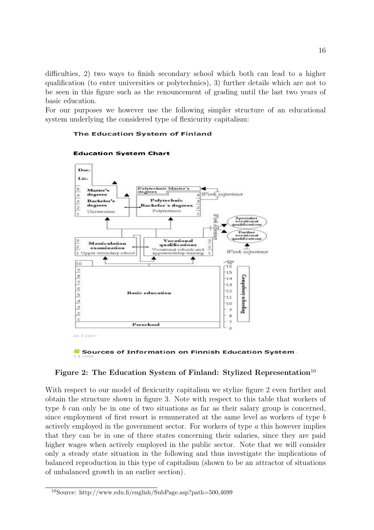difficulties, 2) two ways to finish secondary school which both can lead to a higher qualification (to enter universities or polytechnics), 3) further details which are not to be seen in this figure such as the renouncement of grading until the last two years of basic education.

For our purposes we however use the following simpler structure of an educational system underlying the considered type of flexicurity capitalism:

### The Education System of Finland



#### **Education System Chart**

<mark>न</mark> Sources of Information on Finnish Education System<br>३६२००६

## Figure 2: The Education System of Finland: Stylized Representation $^{10}$

With respect to our model of flexicurity capitalism we stylize figure 2 even further and obtain the structure shown in figure 3. Note with respect to this table that workers of type b can only be in one of two situations as far as their salary group is concerned, since employment of first resort is remunerated at the same level as workers of type b actively employed in the government sector. For workers of type  $a$  this however implies that they can be in one of three states concerning their salaries, since they are paid higher wages when actively employed in the public sector. Note that we will consider only a steady state situation in the following and thus investigate the implications of balanced reproduction in this type of capitalism (shown to be an attractor of situations of unbalanced growth in an earlier section).

<sup>10</sup>Source: http://www.edu.fi/english/SubPage.asp?path=500,4699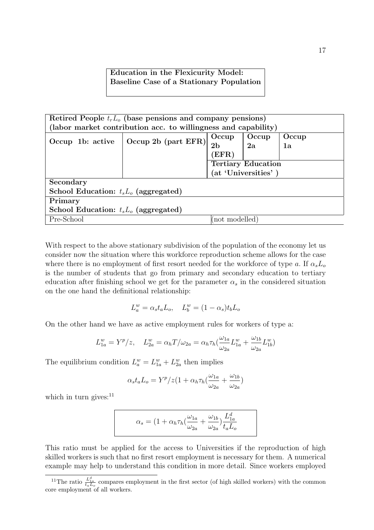### Education in the Flexicurity Model: Baseline Case of a Stationary Population

| Retired People $t_rL_o$ (base pensions and company pensions)   |                     |                                       |                           |       |
|----------------------------------------------------------------|---------------------|---------------------------------------|---------------------------|-------|
| (labor market contribution acc. to willingness and capability) |                     |                                       |                           |       |
|                                                                | Occup 2b (part EFR) | Occup                                 | Occup                     | Occup |
| Occup 1b: active                                               |                     | $2\mathrm{b}$                         | 2a                        | 1a    |
|                                                                |                     | (EFR)                                 |                           |       |
|                                                                |                     |                                       | <b>Tertiary Education</b> |       |
|                                                                |                     |                                       | (at 'Universities')       |       |
| Secondary                                                      |                     |                                       |                           |       |
| School Education: $t_sL_o$ (aggregated)                        |                     |                                       |                           |       |
| Primary                                                        |                     |                                       |                           |       |
| School Education: $t_sL_o$ (aggregated)                        |                     |                                       |                           |       |
| Pre-School                                                     |                     | $\langle \text{not modelled} \rangle$ |                           |       |
|                                                                |                     |                                       |                           |       |

With respect to the above stationary subdivision of the population of the economy let us consider now the situation where this workforce reproduction scheme allows for the case where there is no employment of first resort needed for the workforce of type a. If  $\alpha_s L_o$ is the number of students that go from primary and secondary education to tertiary education after finishing school we get for the parameter  $\alpha_s$  in the considered situation on the one hand the definitional relationship:

$$
L_a^w = \alpha_s t_a L_o, \quad L_b^w = (1 - \alpha_s) t_b L_o
$$

On the other hand we have as active employment rules for workers of type a:

$$
L_{1a}^w = Y^p/z, \quad L_{2a}^w = \alpha_h T/\omega_{2a} = \alpha_h \tau_h \left(\frac{\omega_{1a}}{\omega_{2a}} L_{1a}^w + \frac{\omega_{1b}}{\omega_{2a}} L_{1b}^w\right)
$$

The equilibrium condition  $L_a^w = L_{1a}^w + L_{2a}^w$  then implies

$$
\alpha_s t_a L_o = Y^p / z (1 + \alpha_h \tau_h \left(\frac{\omega_{1a}}{\omega_{2a}} + \frac{\omega_{1b}}{\omega_{2a}}\right))
$$

which in turn gives: $11$ 

$$
\alpha_s = (1 + \alpha_h \tau_h (\frac{\omega_{1a}}{\omega_{2a}} + \frac{\omega_{1b}}{\omega_{2a}}) \frac{L_{1a}^d}{t_a L_o})
$$

This ratio must be applied for the access to Universities if the reproduction of high skilled workers is such that no first resort employment is necessary for them. A numerical example may help to understand this condition in more detail. Since workers employed

<sup>&</sup>lt;sup>11</sup>The ratio  $\frac{L_{1a}^d}{t_a L_o}$  compares employment in the first sector (of high skilled workers) with the common core employment of all workers.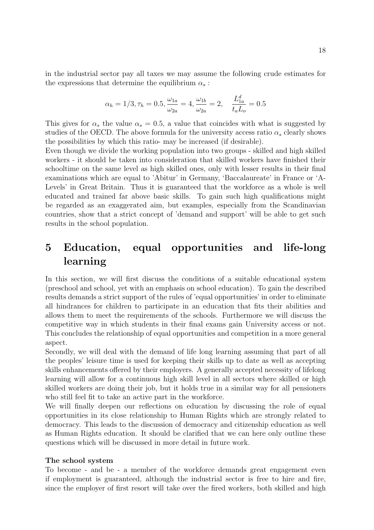in the industrial sector pay all taxes we may assume the following crude estimates for the expressions that determine the equilibrium  $\alpha_s$ :

$$
\alpha_h = 1/3, \tau_h = 0.5, \frac{\omega_{1a}}{\omega_{2a}} = 4, \frac{\omega_{1b}}{\omega_{2a}} = 2, \quad \frac{L_{1a}^d}{t_a L_o} = 0.5
$$

This gives for  $\alpha_s$  the value  $\alpha_s = 0.5$ , a value that coincides with what is suggested by studies of the OECD. The above formula for the university access ratio  $\alpha_s$  clearly shows the possibilities by which this ratio- may be increased (if desirable).

Even though we divide the working population into two groups - skilled and high skilled workers - it should be taken into consideration that skilled workers have finished their schooltime on the same level as high skilled ones, only with lesser results in their final examinations which are equal to 'Abitur' in Germany, 'Baccalaureate' in France or 'A-Levels' in Great Britain. Thus it is guaranteed that the workforce as a whole is well educated and trained far above basic skills. To gain such high qualifications might be regarded as an exaggerated aim, but examples, especially from the Scandinavian countries, show that a strict concept of 'demand and support' will be able to get such results in the school population.

## 5 Education, equal opportunities and life-long learning

In this section, we will first discuss the conditions of a suitable educational system (preschool and school, yet with an emphasis on school education). To gain the described results demands a strict support of the rules of 'equal opportunities' in order to eliminate all hindrances for children to participate in an education that fits their abilities and allows them to meet the requirements of the schools. Furthermore we will discuss the competitive way in which students in their final exams gain University access or not. This concludes the relationship of equal opportunities and competition in a more general aspect.

Secondly, we will deal with the demand of life long learning assuming that part of all the peoples' leisure time is used for keeping their skills up to date as well as accepting skills enhancements offered by their employers. A generally accepted necessity of lifelong learning will allow for a continuous high skill level in all sectors where skilled or high skilled workers are doing their job, but it holds true in a similar way for all pensioners who still feel fit to take an active part in the workforce.

We will finally deepen our reflections on education by discussing the role of equal opportunities in its close relationship to Human Rights which are strongly related to democracy. This leads to the discussion of democracy and citizenship education as well as Human Rights education. It should be clarified that we can here only outline these questions which will be discussed in more detail in future work.

#### The school system

To become - and be - a member of the workforce demands great engagement even if employment is guaranteed, although the industrial sector is free to hire and fire, since the employer of first resort will take over the fired workers, both skilled and high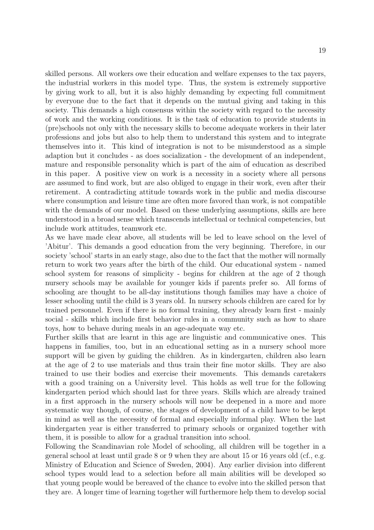skilled persons. All workers owe their education and welfare expenses to the tax payers, the industrial workers in this model type. Thus, the system is extremely supportive by giving work to all, but it is also highly demanding by expecting full commitment by everyone due to the fact that it depends on the mutual giving and taking in this society. This demands a high consensus within the society with regard to the necessity of work and the working conditions. It is the task of education to provide students in (pre)schools not only with the necessary skills to become adequate workers in their later professions and jobs but also to help them to understand this system and to integrate themselves into it. This kind of integration is not to be misunderstood as a simple adaption but it concludes - as does socialization - the development of an independent, mature and responsible personality which is part of the aim of education as described in this paper. A positive view on work is a necessity in a society where all persons are assumed to find work, but are also obliged to engage in their work, even after their retirement. A contradicting attitude towards work in the public and media discourse where consumption and leisure time are often more favored than work, is not compatible with the demands of our model. Based on these underlying assumptions, skills are here understood in a broad sense which transcends intellectual or technical competencies, but include work attitudes, teamwork etc.

As we have made clear above, all students will be led to leave school on the level of 'Abitur'. This demands a good education from the very beginning. Therefore, in our society 'school' starts in an early stage, also due to the fact that the mother will normally return to work two years after the birth of the child. Our educational system - named school system for reasons of simplicity - begins for children at the age of 2 though nursery schools may be available for younger kids if parents prefer so. All forms of schooling are thought to be all-day institutions though families may have a choice of lesser schooling until the child is 3 years old. In nursery schools children are cared for by trained personnel. Even if there is no formal training, they already learn first - mainly social - skills which include first behavior rules in a community such as how to share toys, how to behave during meals in an age-adequate way etc.

Further skills that are learnt in this age are linguistic and communicative ones. This happens in families, too, but in an educational setting as in a nursery school more support will be given by guiding the children. As in kindergarten, children also learn at the age of 2 to use materials and thus train their fine motor skills. They are also trained to use their bodies and exercise their movements. This demands caretakers with a good training on a University level. This holds as well true for the following kindergarten period which should last for three years. Skills which are already trained in a first approach in the nursery schools will now be deepened in a more and more systematic way though, of course, the stages of development of a child have to be kept in mind as well as the necessity of formal and especially informal play. When the last kindergarten year is either transferred to primary schools or organized together with them, it is possible to allow for a gradual transition into school.

Following the Scandinavian role Model of schooling, all children will be together in a general school at least until grade 8 or 9 when they are about 15 or 16 years old (cf., e.g. Ministry of Education and Science of Sweden, 2004). Any earlier division into different school types would lead to a selection before all main abilities will be developed so that young people would be bereaved of the chance to evolve into the skilled person that they are. A longer time of learning together will furthermore help them to develop social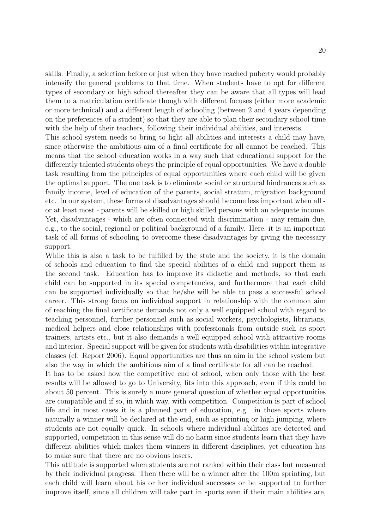skills. Finally, a selection before or just when they have reached puberty would probably intensify the general problems to that time. When students have to opt for different types of secondary or high school thereafter they can be aware that all types will lead them to a matriculation certificate though with different focuses (either more academic or more technical) and a different length of schooling (between 2 and 4 years depending on the preferences of a student) so that they are able to plan their secondary school time with the help of their teachers, following their individual abilities, and interests.

This school system needs to bring to light all abilities and interests a child may have, since otherwise the ambitious aim of a final certificate for all cannot be reached. This means that the school education works in a way such that educational support for the differently talented students obeys the principle of equal opportunities. We have a double task resulting from the principles of equal opportunities where each child will be given the optimal support. The one task is to eliminate social or structural hindrances such as family income, level of education of the parents, social stratum, migration background etc. In our system, these forms of disadvantages should become less important when all or at least most - parents will be skilled or high skilled persons with an adequate income. Yet, disadvantages - which are often connected with discrimination - may remain due, e.g., to the social, regional or political background of a family. Here, it is an important task of all forms of schooling to overcome these disadvantages by giving the necessary support.

While this is also a task to be fulfilled by the state and the society, it is the domain of schools and education to find the special abilities of a child and support them as the second task. Education has to improve its didactic and methods, so that each child can be supported in its special competencies, and furthermore that each child can be supported individually so that he/she will be able to pass a successful school career. This strong focus on individual support in relationship with the common aim of reaching the final certificate demands not only a well equipped school with regard to teaching personnel, further personnel such as social workers, psychologists, librarians, medical helpers and close relationships with professionals from outside such as sport trainers, artists etc., but it also demands a well equipped school with attractive rooms and interior. Special support will be given for students with disabilities within integrative classes (cf. Report 2006). Equal opportunities are thus an aim in the school system but also the way in which the ambitious aim of a final certificate for all can be reached.

It has to be asked how the competitive end of school, when only those with the best results will be allowed to go to University, fits into this approach, even if this could be about 50 percent. This is surely a more general question of whether equal opportunities are compatible and if so, in which way, with competition. Competition is part of school life and in most cases it is a planned part of education, e.g. in those sports where naturally a winner will be declared at the end, such as sprinting or high jumping, where students are not equally quick. In schools where individual abilities are detected and supported, competition in this sense will do no harm since students learn that they have different abilities which makes them winners in different disciplines, yet education has to make sure that there are no obvious losers.

This attitude is supported when students are not ranked within their class but measured by their individual progress. Then there will be a winner after the 100m sprinting, but each child will learn about his or her individual successes or be supported to further improve itself, since all children will take part in sports even if their main abilities are,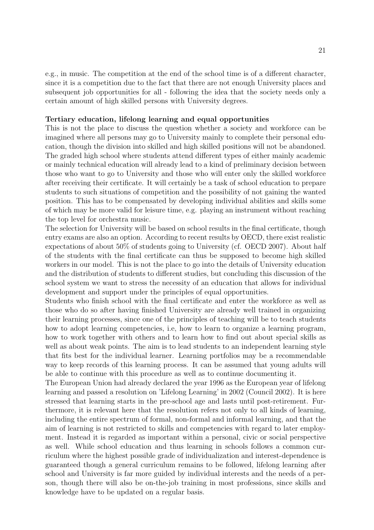e.g., in music. The competition at the end of the school time is of a different character, since it is a competition due to the fact that there are not enough University places and subsequent job opportunities for all - following the idea that the society needs only a certain amount of high skilled persons with University degrees.

#### Tertiary education, lifelong learning and equal opportunities

This is not the place to discuss the question whether a society and workforce can be imagined where all persons may go to University mainly to complete their personal education, though the division into skilled and high skilled positions will not be abandoned. The graded high school where students attend different types of either mainly academic or mainly technical education will already lead to a kind of preliminary decision between those who want to go to University and those who will enter only the skilled workforce after receiving their certificate. It will certainly be a task of school education to prepare students to such situations of competition and the possibility of not gaining the wanted position. This has to be compensated by developing individual abilities and skills some of which may be more valid for leisure time, e.g. playing an instrument without reaching the top level for orchestra music.

The selection for University will be based on school results in the final certificate, though entry exams are also an option. According to recent results by OECD, there exist realistic expectations of about 50% of students going to University (cf. OECD 2007). About half of the students with the final certificate can thus be supposed to become high skilled workers in our model. This is not the place to go into the details of University education and the distribution of students to different studies, but concluding this discussion of the school system we want to stress the necessity of an education that allows for individual development and support under the principles of equal opportunities.

Students who finish school with the final certificate and enter the workforce as well as those who do so after having finished University are already well trained in organizing their learning processes, since one of the principles of teaching will be to teach students how to adopt learning competencies, i.e, how to learn to organize a learning program, how to work together with others and to learn how to find out about special skills as well as about weak points. The aim is to lead students to an independent learning style that fits best for the individual learner. Learning portfolios may be a recommendable way to keep records of this learning process. It can be assumed that young adults will be able to continue with this procedure as well as to continue documenting it.

The European Union had already declared the year 1996 as the European year of lifelong learning and passed a resolution on 'Lifelong Learning' in 2002 (Council 2002). It is here stressed that learning starts in the pre-school age and lasts until post-retirement. Furthermore, it is relevant here that the resolution refers not only to all kinds of learning, including the entire spectrum of formal, non-formal and informal learning, and that the aim of learning is not restricted to skills and competencies with regard to later employment. Instead it is regarded as important within a personal, civic or social perspective as well. While school education and thus learning in schools follows a common curriculum where the highest possible grade of individualization and interest-dependence is guaranteed though a general curriculum remains to be followed, lifelong learning after school and University is far more guided by individual interests and the needs of a person, though there will also be on-the-job training in most professions, since skills and knowledge have to be updated on a regular basis.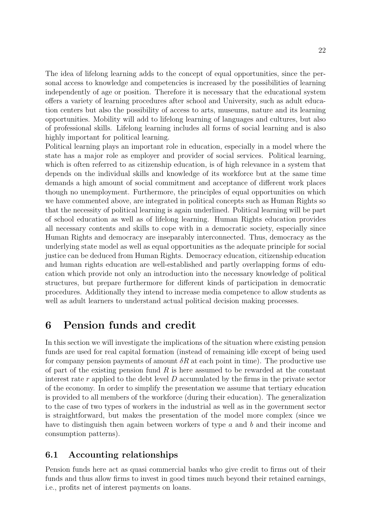The idea of lifelong learning adds to the concept of equal opportunities, since the personal access to knowledge and competencies is increased by the possibilities of learning independently of age or position. Therefore it is necessary that the educational system offers a variety of learning procedures after school and University, such as adult education centers but also the possibility of access to arts, museums, nature and its learning opportunities. Mobility will add to lifelong learning of languages and cultures, but also of professional skills. Lifelong learning includes all forms of social learning and is also highly important for political learning.

Political learning plays an important role in education, especially in a model where the state has a major role as employer and provider of social services. Political learning, which is often referred to as citizenship education, is of high relevance in a system that depends on the individual skills and knowledge of its workforce but at the same time demands a high amount of social commitment and acceptance of different work places though no unemployment. Furthermore, the principles of equal opportunities on which we have commented above, are integrated in political concepts such as Human Rights so that the necessity of political learning is again underlined. Political learning will be part of school education as well as of lifelong learning. Human Rights education provides all necessary contents and skills to cope with in a democratic society, especially since Human Rights and democracy are inseparably interconnected. Thus, democracy as the underlying state model as well as equal opportunities as the adequate principle for social justice can be deduced from Human Rights. Democracy education, citizenship education and human rights education are well-established and partly overlapping forms of education which provide not only an introduction into the necessary knowledge of political structures, but prepare furthermore for different kinds of participation in democratic procedures. Additionally they intend to increase media competence to allow students as well as adult learners to understand actual political decision making processes.

## 6 Pension funds and credit

In this section we will investigate the implications of the situation where existing pension funds are used for real capital formation (instead of remaining idle except of being used for company pension payments of amount  $\delta R$  at each point in time). The productive use of part of the existing pension fund  $R$  is here assumed to be rewarded at the constant interest rate r applied to the debt level  $D$  accumulated by the firms in the private sector of the economy. In order to simplify the presentation we assume that tertiary education is provided to all members of the workforce (during their education). The generalization to the case of two types of workers in the industrial as well as in the government sector is straightforward, but makes the presentation of the model more complex (since we have to distinguish then again between workers of type a and b and their income and consumption patterns).

### 6.1 Accounting relationships

Pension funds here act as quasi commercial banks who give credit to firms out of their funds and thus allow firms to invest in good times much beyond their retained earnings, i.e., profits net of interest payments on loans.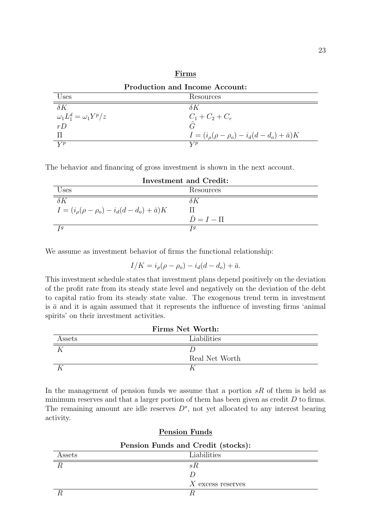|--|

| Frounceion and micome Account.    |                                                           |  |
|-----------------------------------|-----------------------------------------------------------|--|
| Uses                              | Resources                                                 |  |
| $\delta K$                        | $\delta K$                                                |  |
| $\omega_1 L_1^d = \omega_1 Y^p/z$ | $C_1 + C_2 + C_r$                                         |  |
| rD                                |                                                           |  |
|                                   | $I = (i_{\rho}(\rho - \rho_o) - i_d(d - d_o) + \bar{a})K$ |  |
| $V^p$                             | $V^p$                                                     |  |

| <b>Production and Income Account:</b> |  |  |
|---------------------------------------|--|--|
|                                       |  |  |

The behavior and financing of gross investment is shown in the next account.

| Investment and Credit:                                    |               |  |
|-----------------------------------------------------------|---------------|--|
| Uses                                                      | Resources     |  |
| $\overline{\delta K}$                                     | $\delta K$    |  |
| $I = (i_{\rho}(\rho - \rho_o) - i_d(d - d_o) + \bar{a})K$ |               |  |
|                                                           | $D = I - \Pi$ |  |
| I <sub>g</sub>                                            | I 9           |  |

We assume as investment behavior of firms the functional relationship:

$$
I/K = i_{\rho}(\rho - \rho_o) - i_d(d - d_o) + \bar{a}.
$$

This investment schedule states that investment plans depend positively on the deviation of the profit rate from its steady state level and negatively on the deviation of the debt to capital ratio from its steady state value. The exogenous trend term in investment is  $\bar{a}$  and it is again assumed that it represents the influence of investing firms 'animal spirits' on their investment activities.

| <b>Firms Net Worth:</b> |                |
|-------------------------|----------------|
| Assets                  | Liabilities    |
|                         |                |
|                         | Real Net Worth |
|                         |                |

In the management of pension funds we assume that a portion  $sR$  of them is held as minimum reserves and that a larger portion of them has been given as credit  $D$  to firms. The remaining amount are idle reserves  $D^s$ , not yet allocated to any interest bearing activity.

Pension Funds

| Pension Funds and Credit (stocks): |                     |
|------------------------------------|---------------------|
| Assets                             | Liabilities         |
|                                    | s R                 |
|                                    |                     |
|                                    | $X$ excess reserves |
|                                    |                     |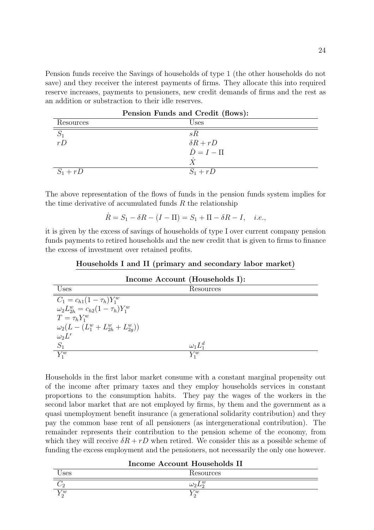Pension funds receive the Savings of households of type 1 (the other households do not save) and they receiver the interest payments of firms. They allocate this into required reserve increases, payments to pensioners, new credit demands of firms and the rest as an addition or substraction to their idle reserves.

| Resources  | Uses            |
|------------|-----------------|
|            | sК              |
| rD         | $\delta R + rD$ |
|            | $\dot{D}=I-\Pi$ |
|            |                 |
| $S_1 + rD$ | $S_1+rD$        |

| Pension Funds and Credit (flows): |  |  |  |
|-----------------------------------|--|--|--|
|-----------------------------------|--|--|--|

The above representation of the flows of funds in the pension funds system implies for the time derivative of accumulated funds  $R$  the relationship

$$
\dot{R} = S_1 - \delta R - (I - \Pi) = S_1 + \Pi - \delta R - I, \quad i.e.,
$$

it is given by the excess of savings of households of type I over current company pension funds payments to retired households and the new credit that is given to firms to finance the excess of investment over retained profits.

#### Households I and II (primary and secondary labor market)

| Income Account (Households I):                  |                  |
|-------------------------------------------------|------------------|
| Uses                                            | Resources        |
| $C_1 = c_{h1}(1 - \tau_h)Y_1^w$                 |                  |
| $\omega_2 L_{2h}^w = c_{h2} (1 - \tau_h) Y_1^w$ |                  |
| $T = \tau_h Y_v^w$                              |                  |
| $\omega_2(L-(L_1^w+L_{2h}^w+L_{2g}^w))$         |                  |
| $\omega_2 L^r$                                  |                  |
| $S_1$                                           | $\omega_1 L_1^d$ |
| $Y^w_1$                                         | $Y^w_1$          |

Households in the first labor market consume with a constant marginal propensity out of the income after primary taxes and they employ households services in constant proportions to the consumption habits. They pay the wages of the workers in the second labor market that are not employed by firms, by them and the government as a quasi unemployment benefit insurance (a generational solidarity contribution) and they pay the common base rent of all pensioners (as intergenerational contribution). The remainder represents their contribution to the pension scheme of the economy, from which they will receive  $\delta R + rD$  when retired. We consider this as a possible scheme of funding the excess employment and the pensioners, not necessarily the only one however.

| <b>Income Account Households II</b> |
|-------------------------------------|
|-------------------------------------|

| Jses                       | Resources                      |
|----------------------------|--------------------------------|
| -                          | rw<br>$\omega\cdot$<br>-       |
| $\sqrt{w}$<br>$\mathbf{r}$ | $\nabla w$<br>- 61<br><b>J</b> |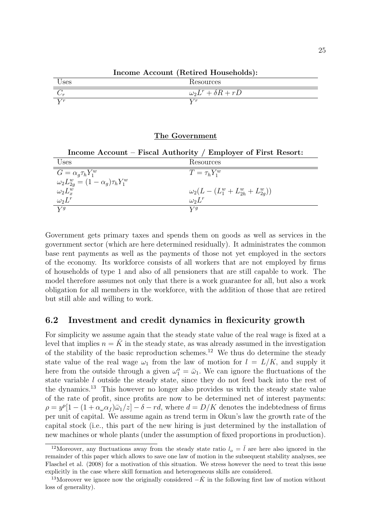| Income Account (Retired Households): |
|--------------------------------------|
|--------------------------------------|

| Uses            | Resources                      |
|-----------------|--------------------------------|
| $\smile r$      | $\omega_2 L^r + \delta R + rD$ |
| $\tau$ $\tau r$ | $\mathbf{r}$ $\mathbf{r}$      |

#### The Government

Income Account – Fiscal Authority / Employer of First Resort:

| Uses                                              | Resources                               |
|---------------------------------------------------|-----------------------------------------|
| $G = \alpha_g \tau_h Y_1^w$                       | $T=\tau_h Y_1^w$                        |
| $\omega_2 L_{2q}^w = (1 - \alpha_g) \tau_h Y_1^w$ |                                         |
| $\omega_2 L_x^w$                                  | $\omega_2(L-(L_1^w+L_{2h}^w+L_{2g}^w))$ |
| $\omega_2 L^r$                                    | $\omega_2 L^r$                          |
| $V^g$                                             | $V^g$                                   |

Government gets primary taxes and spends them on goods as well as services in the government sector (which are here determined residually). It administrates the common base rent payments as well as the payments of those not yet employed in the sectors of the economy. Its workforce consists of all workers that are not employed by firms of households of type 1 and also of all pensioners that are still capable to work. The model therefore assumes not only that there is a work guarantee for all, but also a work obligation for all members in the workforce, with the addition of those that are retired but still able and willing to work.

#### 6.2 Investment and credit dynamics in flexicurity growth

For simplicity we assume again that the steady state value of the real wage is fixed at a level that implies  $n = \hat{K}$  in the steady state, as was already assumed in the investigation of the stability of the basic reproduction schemes.<sup>12</sup> We thus do determine the steady state value of the real wage  $\omega_1$  from the law of motion for  $l = L/K$ , and supply it here from the outside through a given  $\omega_1^o = \bar{\omega}_1$ . We can ignore the fluctuations of the state variable l outside the steady state, since they do not feed back into the rest of the dynamics.<sup>13</sup> This however no longer also provides us with the steady state value of the rate of profit, since profits are now to be determined net of interest payments:  $\rho = y^p[1 - (1 + \alpha_\omega \alpha_f)\bar{\omega}_1/z] - \delta - rd$ , where  $d = D/K$  denotes the indebtedness of firms per unit of capital. We assume again as trend term in Okun's law the growth rate of the capital stock (i.e., this part of the new hiring is just determined by the installation of new machines or whole plants (under the assumption of fixed proportions in production).

<sup>&</sup>lt;sup>12</sup>Moreover, any fluctuations away from the steady state ratio  $l_o = \overline{l}$  are here also ignored in the remainder of this paper which allows to save one law of motion in the subsequent stability analyses, see Flaschel et al. (2008) for a motivation of this situation. We stress however the need to treat this issue explicitly in the case where skill formation and heterogeneous skills are considered.

<sup>&</sup>lt;sup>13</sup>Moreover we ignore now the originally considered  $-\hat{K}$  in the following first law of motion without loss of generality).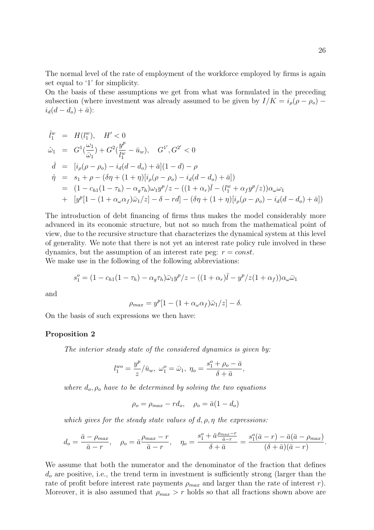The normal level of the rate of employment of the workforce employed by firms is again set equal to '1' for simplicity.

On the basis of these assumptions we get from what was formulated in the preceding subsection (where investment was already assumed to be given by  $I/K = i_{\rho}(\rho - \rho_o)$  –  $i_d(d - d_o) + \bar{a}$ :

$$
\hat{l}_{1}^{w} = H(l_{1}^{w}), \quad H' < 0
$$
\n
$$
\hat{\omega}_{1} = G^{1}(\frac{\omega_{1}}{\bar{\omega}_{1}}) + G^{2}(\frac{y^{p}}{l_{1}^{w}} - \bar{u}_{w}), \quad G^{1'}, G^{2'} < 0
$$
\n
$$
\vec{d} = [i_{\rho}(\rho - \rho_{o}) - i_{d}(d - d_{o}) + \bar{a}](1 - d) - \rho
$$
\n
$$
\hat{\eta} = s_{1} + \rho - (\delta \eta + (1 + \eta)[i_{\rho}(\rho - \rho_{o}) - i_{d}(d - d_{o}) + \bar{a}])
$$
\n
$$
= (1 - c_{h1}(1 - \tau_{h}) - \alpha_{g}\tau_{h})\omega_{1}y^{p}/z - ((1 + \alpha_{r})\bar{l} - (l_{1}^{w} + \alpha_{f}y^{p}/z))\alpha_{\omega}\omega_{1}
$$
\n
$$
+ [y^{p}[1 - (1 + \alpha_{\omega}\alpha_{f})\bar{\omega}_{1}/z] - \delta - rd] - (\delta \eta + (1 + \eta)[i_{\rho}(\rho - \rho_{o}) - i_{d}(d - d_{o}) + \bar{a}])
$$

The introduction of debt financing of firms thus makes the model considerably more advanced in its economic structure, but not so much from the mathematical point of view, due to the recursive structure that characterizes the dynamical system at this level of generality. We note that there is not yet an interest rate policy rule involved in these dynamics, but the assumption of an interest rate peg:  $r = const.$ We make use in the following of the following abbreviations:

$$
s_1^o = (1 - c_{h1}(1 - \tau_h) - \alpha_g \tau_h)\bar{\omega}_1 y^p / z - ((1 + \alpha_r)\bar{l} - y^p / z(1 + \alpha_f))\alpha_\omega \bar{\omega}_1
$$

and

$$
\rho_{max} = y^p [1 - (1 + \alpha_\omega \alpha_f) \bar{\omega}_1 / z] - \delta.
$$

On the basis of such expressions we then have:

#### Proposition 2

The interior steady state of the considered dynamics is given by:

$$
l_1^{wo} = \frac{y^p}{z} / \bar{u}_w, \ \omega_1^o = \bar{\omega}_1, \ \eta_o = \frac{s_1^o + \rho_o - \bar{a}}{\delta + \bar{a}},
$$

where  $d_o$ ,  $\rho_o$  have to be determined by solving the two equations

$$
\rho_o = \rho_{max} - r d_o, \quad \rho_o = \bar{a} (1 - d_o)
$$

which gives for the steady state values of d,  $\rho$ ,  $\eta$  the expressions:

$$
d_o = \frac{\bar{a} - \rho_{max}}{\bar{a} - r}, \quad \rho_o = \bar{a} \frac{\rho_{max} - r}{\bar{a} - r}, \quad \eta_o = \frac{s_1^o + \bar{a} \frac{\rho_{max} - r}{\bar{a} - r}}{\delta + \bar{a}} = \frac{s_1^o(\bar{a} - r) - \bar{a}(\bar{a} - \rho_{max})}{(\delta + \bar{a})(\bar{a} - r)}
$$

We assume that both the numerator and the denominator of the fraction that defines  $d<sub>o</sub>$  are positive, i.e., the trend term in investment is sufficiently strong (larger than the rate of profit before interest rate payments  $\rho_{max}$  and larger than the rate of interest r). Moreover, it is also assumed that  $\rho_{max} > r$  holds so that all fractions shown above are

.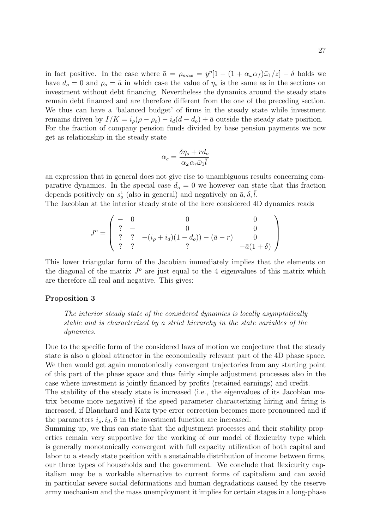in fact positive. In the case where  $\bar{a} = \rho_{max} = y^p[1 - (1 + \alpha_{\omega} \alpha_f)\bar{\omega}_1/z] - \delta$  holds we have  $d_0 = 0$  and  $\rho_0 = \bar{a}$  in which case the value of  $\eta_0$  is the same as in the sections on investment without debt financing. Nevertheless the dynamics around the steady state remain debt financed and are therefore different from the one of the preceding section. We thus can have a 'balanced budget' of firms in the steady state while investment remains driven by  $I/K = i_{\rho}(\rho - \rho_o) - i_d(d - d_o) + \bar{a}$  outside the steady state position. For the fraction of company pension funds divided by base pension payments we now get as relationship in the steady state

$$
\alpha_c = \frac{\delta \eta_o + r d_o}{\alpha_\omega \alpha_r \bar{\omega}_1 \bar{l}}
$$

an expression that in general does not give rise to unambiguous results concerning comparative dynamics. In the special case  $d_0 = 0$  we however can state that this fraction depends positively on  $s_o^1$  (also in general) and negatively on  $\bar{a}, \delta, \bar{l}$ .

The Jacobian at the interior steady state of the here considered 4D dynamics reads

$$
J^{o} = \begin{pmatrix} - & 0 & 0 & 0 \\ ? & - & 0 & 0 \\ ? & ? & -(i_{\rho} + i_{d})(1 - d_{o})) - (\bar{a} - r) & 0 \\ ? & ? & ? & -\bar{a}(1 + \delta) \end{pmatrix}
$$

This lower triangular form of the Jacobian immediately implies that the elements on the diagonal of the matrix  $J^{\circ}$  are just equal to the 4 eigenvalues of this matrix which are therefore all real and negative. This gives:

#### Proposition 3

The interior steady state of the considered dynamics is locally asymptotically stable and is characterized by a strict hierarchy in the state variables of the dynamics.

Due to the specific form of the considered laws of motion we conjecture that the steady state is also a global attractor in the economically relevant part of the 4D phase space. We then would get again monotonically convergent trajectories from any starting point of this part of the phase space and thus fairly simple adjustment processes also in the case where investment is jointly financed by profits (retained earnings) and credit.

The stability of the steady state is increased (i.e., the eigenvalues of its Jacobian matrix become more negative) if the speed parameter characterizing hiring and firing is increased, if Blanchard and Katz type error correction becomes more pronounced and if the parameters  $i_{\rho}, i_{d}, \bar{a}$  in the investment function are increased.

Summing up, we thus can state that the adjustment processes and their stability properties remain very supportive for the working of our model of flexicurity type which is generally monotonically convergent with full capacity utilization of both capital and labor to a steady state position with a sustainable distribution of income between firms, our three types of households and the government. We conclude that flexicurity capitalism may be a workable alternative to current forms of capitalism and can avoid in particular severe social deformations and human degradations caused by the reserve army mechanism and the mass unemployment it implies for certain stages in a long-phase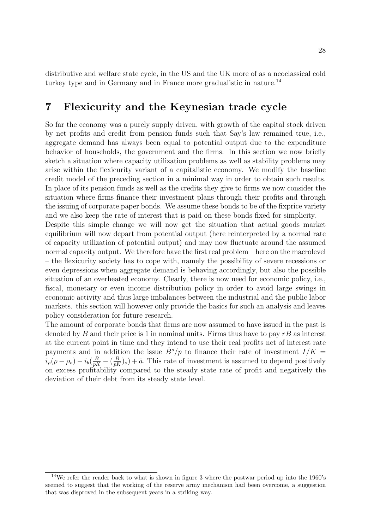distributive and welfare state cycle, in the US and the UK more of as a neoclassical cold turkey type and in Germany and in France more gradualistic in nature.<sup>14</sup>

## 7 Flexicurity and the Keynesian trade cycle

So far the economy was a purely supply driven, with growth of the capital stock driven by net profits and credit from pension funds such that Say's law remained true, i.e., aggregate demand has always been equal to potential output due to the expenditure behavior of households, the government and the firms. In this section we now briefly sketch a situation where capacity utilization problems as well as stability problems may arise within the flexicurity variant of a capitalistic economy. We modify the baseline credit model of the preceding section in a minimal way in order to obtain such results. In place of its pension funds as well as the credits they give to firms we now consider the situation where firms finance their investment plans through their profits and through the issuing of corporate paper bonds. We assume these bonds to be of the fixprice variety and we also keep the rate of interest that is paid on these bonds fixed for simplicity.

Despite this simple change we will now get the situation that actual goods market equilibrium will now depart from potential output (here reinterpreted by a normal rate of capacity utilization of potential output) and may now fluctuate around the assumed normal capacity output. We therefore have the first real problem – here on the macrolevel – the flexicurity society has to cope with, namely the possibility of severe recessions or even depressions when aggregate demand is behaving accordingly, but also the possible situation of an overheated economy. Clearly, there is now need for economic policy, i.e., fiscal, monetary or even income distribution policy in order to avoid large swings in economic activity and thus large imbalances between the industrial and the public labor markets. this section will however only provide the basics for such an analysis and leaves policy consideration for future research.

The amount of corporate bonds that firms are now assumed to have issued in the past is denoted by B and their price is 1 in nominal units. Firms thus have to pay  $rB$  as interest at the current point in time and they intend to use their real profits net of interest rate payments and in addition the issue  $B^s/p$  to finance their rate of investment  $I/K =$  $i_{\rho}(\rho - \rho_o) - i_b(\frac{B}{pK} - (\frac{B}{pK})_o) + \bar{a}$ . This rate of investment is assumed to depend positively on excess profitability compared to the steady state rate of profit and negatively the deviation of their debt from its steady state level.

<sup>&</sup>lt;sup>14</sup>We refer the reader back to what is shown in figure 3 where the postwar period up into the 1960's seemed to suggest that the working of the reserve army mechanism had been overcome, a suggestion that was disproved in the subsequent years in a striking way.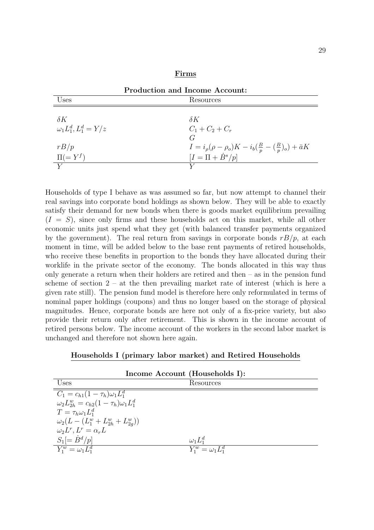| Production and Income Account:   |                                                                                  |
|----------------------------------|----------------------------------------------------------------------------------|
| Uses                             | Resources                                                                        |
|                                  |                                                                                  |
| $\delta K$                       | $\delta K$                                                                       |
| $\omega_1 L_1^d$ , $L_1^d = Y/z$ | $C_1 + C_2 + C_r$                                                                |
|                                  | G                                                                                |
| rB/p                             | $I = i_{\rho}(\rho - \rho_o)K - i_{b}(\frac{B}{n} - (\frac{B}{n})_o) + \bar{a}K$ |
| $\Pi(=Y^f)$                      | $[I = \Pi + \dot{B}^s/p]$                                                        |
|                                  |                                                                                  |

Households of type I behave as was assumed so far, but now attempt to channel their real savings into corporate bond holdings as shown below. They will be able to exactly satisfy their demand for new bonds when there is goods market equilibrium prevailing  $(I = S)$ , since only firms and these households act on this market, while all other economic units just spend what they get (with balanced transfer payments organized by the government). The real return from savings in corporate bonds  $rB/p$ , at each moment in time, will be added below to the base rent payments of retired households, who receive these benefits in proportion to the bonds they have allocated during their worklife in the private sector of the economy. The bonds allocated in this way thus only generate a return when their holders are retired and then  $-$  as in the pension fund scheme of section  $2 - at$  the then prevailing market rate of interest (which is here a given rate still). The pension fund model is therefore here only reformulated in terms of nominal paper holdings (coupons) and thus no longer based on the storage of physical magnitudes. Hence, corporate bonds are here not only of a fix-price variety, but also provide their return only after retirement. This is shown in the income account of retired persons below. The income account of the workers in the second labor market is unchanged and therefore not shown here again.

Households I (primary labor market) and Retired Households

| Income Account (Households I):                           |                          |
|----------------------------------------------------------|--------------------------|
| Uses                                                     | Resources                |
| $C_1 = c_{h1}(1 - \tau_h)\omega_1 L_1^d$                 |                          |
| $\omega_2 L_{2b}^w = c_{h2} (1 - \tau_h) \omega_1 L_1^d$ |                          |
| $T = \tau_h \omega_1 L_1^d$                              |                          |
| $\omega_2(L - (L_1^w + L_{2h}^w + L_{2g}^w))$            |                          |
| $\omega_2 L^r, L^r = \alpha_r L$                         |                          |
| $S_1 = \dot{B}^d / p$                                    | $\omega_1 L_1^d$         |
| $Y_1^w = \omega_1 L_1^d$                                 | $Y_1^w = \omega_1 L_1^d$ |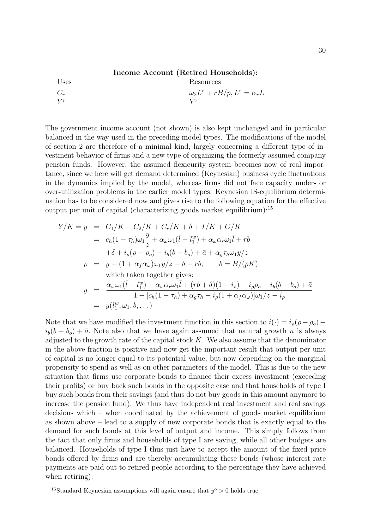| Uses | Resources                               |
|------|-----------------------------------------|
|      | $\omega_2 L^r + rB/p, L^r = \alpha_r L$ |
| T/T  | $\mathbf{r}$ rm                         |

The government income account (not shown) is also kept unchanged and in particular balanced in the way used in the preceding model types. The modifications of the model of section 2 are therefore of a minimal kind, largely concerning a different type of investment behavior of firms and a new type of organizing the formerly assumed company pension funds. However, the assumed flexicurity system becomes now of real importance, since we here will get demand determined (Keynesian) business cycle fluctuations in the dynamics implied by the model, whereas firms did not face capacity under- or over-utilization problems in the earlier model types. Keynesian IS-equilibrium determination has to be considered now and gives rise to the following equation for the effective output per unit of capital (characterizing goods market equilibrium):<sup>15</sup>

$$
Y/K = y = C_1/K + C_2/K + C_r/K + \delta + I/K + G/K
$$
  
\n
$$
= c_h(1 - \tau_h)\omega_1 \frac{y}{z} + \alpha_\omega \omega_1(\bar{l} - l_1^w) + \alpha_\omega \alpha_r \omega_1 \bar{l} + rb
$$
  
\n
$$
+ \delta + i_\rho(\rho - \rho_o) - i_b(b - b_o) + \bar{a} + \alpha_g \tau_h \omega_1 y/z
$$
  
\n
$$
\rho = y - (1 + \alpha_f \alpha_\omega) \omega_1 y/z - \delta - rb, \qquad b = B/(pK)
$$
  
\nwhich taken together gives:  
\n
$$
y = \frac{\alpha_\omega \omega_1(\bar{l} - l_1^w) + \alpha_\omega \alpha_r \omega_1 \bar{l} + (rb + \delta)(1 - i_\rho) - i_\rho \rho_o - i_b(b - b_o) + \bar{a}}{1 - [c_h(1 - \tau_h) + \alpha_g \tau_h - i_\rho(1 + \alpha_f \alpha_\omega)]\omega_1/z - i_\rho}
$$
  
\n
$$
= y(l_1^w, \omega_1, b, \dots)
$$

Note that we have modified the investment function in this section to  $i(\cdot) = i_{\rho}(\rho - \rho_o)$  $i_b(b - b_o) + \bar{a}$ . Note also that we have again assumed that natural growth n is always adjusted to the growth rate of the capital stock  $\tilde{K}$ . We also assume that the denominator in the above fraction is positive and now get the important result that output per unit of capital is no longer equal to its potential value, but now depending on the marginal propensity to spend as well as on other parameters of the model. This is due to the new situation that firms use corporate bonds to finance their excess investment (exceeding their profits) or buy back such bonds in the opposite case and that households of type I buy such bonds from their savings (and thus do not buy goods in this amount anymore to increase the pension fund). We thus have independent real investment and real savings decisions which – when coordinated by the achievement of goods market equilibrium as shown above – lead to a supply of new corporate bonds that is exactly equal to the demand for such bonds at this level of output and income. This simply follows from the fact that only firms and households of type I are saving, while all other budgets are balanced. Households of type I thus just have to accept the amount of the fixed price bonds offered by firms and are thereby accumulating these bonds (whose interest rate payments are paid out to retired people according to the percentage they have achieved when retiring).

<sup>&</sup>lt;sup>15</sup>Standard Keynesian assumptions will again ensure that  $y^{\circ} > 0$  holds true.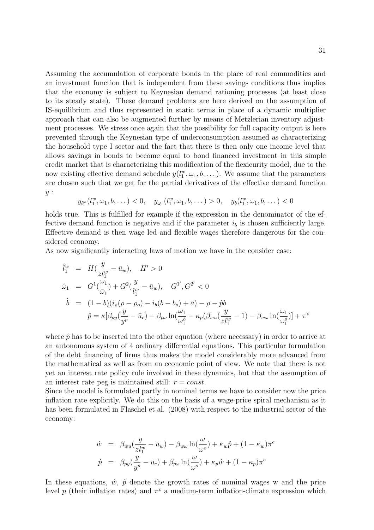Assuming the accumulation of corporate bonds in the place of real commodities and an investment function that is independent from these savings conditions thus implies that the economy is subject to Keynesian demand rationing processes (at least close to its steady state). These demand problems are here derived on the assumption of IS-equilibrium and thus represented in static terms in place of a dynamic multiplier approach that can also be augmented further by means of Metzlerian inventory adjustment processes. We stress once again that the possibility for full capacity output is here prevented through the Keynesian type of underconsumption assumed as characterizing the household type I sector and the fact that there is then only one income level that allows savings in bonds to become equal to bond financed investment in this simple credit market that is characterizing this modification of the flexicurity model, due to the now existing effective demand schedule  $y(l_1^w, \omega_1, b, \dots)$ . We assume that the parameters are chosen such that we get for the partial derivatives of the effective demand function  $y$ :

$$
y_{l_1^w}(l_1^w, \omega_1, b, \dots) < 0, \quad y_{\omega_1}(l_1^w, \omega_1, b, \dots) > 0, \quad y_b(l_1^w, \omega_1, b, \dots) < 0
$$

holds true. This is fulfilled for example if the expression in the denominator of the effective demand function is negative and if the parameter  $i<sub>b</sub>$  is chosen sufficiently large. Effective demand is then wage led and flexible wages therefore dangerous for the considered economy.

As now significantly interacting laws of motion we have in the consider case:

$$
\hat{l}_{1}^{w} = H(\frac{y}{zl_{1}^{w}} - \bar{u}_{w}), \quad H' > 0
$$
\n
$$
\hat{\omega}_{1} = G^{1}(\frac{\omega_{1}}{\bar{\omega}_{1}}) + G^{2}(\frac{y}{l_{1}^{w}} - \bar{u}_{w}), \quad G^{1'}, G^{2'} < 0
$$
\n
$$
\dot{b} = (1 - b)(i_{\rho}(\rho - \rho_{o}) - i_{b}(b - b_{o}) + \bar{a}) - \rho - \hat{p}b
$$
\n
$$
\hat{p} = \kappa[\beta_{py}(\frac{y}{y^{p}} - \bar{u}_{c}) + \beta_{p\omega}\ln(\frac{\omega_{1}}{\omega_{1}^{o}} + \kappa_{p}(\beta_{wu}(\frac{y}{z l_{1}^{w}} - 1) - \beta_{w\omega}\ln(\frac{\omega_{1}}{\omega_{1}^{o}})] + \pi^{c}
$$

where  $\hat{p}$  has to be inserted into the other equation (where necessary) in order to arrive at an autonomous system of 4 ordinary differential equations. This particular formulation of the debt financing of firms thus makes the model considerably more advanced from the mathematical as well as from an economic point of view. We note that there is not yet an interest rate policy rule involved in these dynamics, but that the assumption of an interest rate peg is maintained still:  $r = const.$ 

Since the model is formulated partly in nominal terms we have to consider now the price inflation rate explicitly. We do this on the basis of a wage-price spiral mechanism as it has been formulated in Flaschel et al. (2008) with respect to the industrial sector of the economy:

$$
\hat{w} = \beta_{wu} \left( \frac{y}{z l_1^w} - \bar{u}_w \right) - \beta_{w\omega} \ln \left( \frac{\omega}{\omega^o} \right) + \kappa_w \hat{p} + (1 - \kappa_w) \pi^c
$$
  

$$
\hat{p} = \beta_{py} \left( \frac{y}{y^p} - \bar{u}_c \right) + \beta_{p\omega} \ln \left( \frac{\omega}{\omega^o} \right) + \kappa_p \hat{w} + (1 - \kappa_p) \pi^c
$$

In these equations,  $\hat{w}$ ,  $\hat{p}$  denote the growth rates of nominal wages w and the price level p (their inflation rates) and  $\pi^c$  a medium-term inflation-climate expression which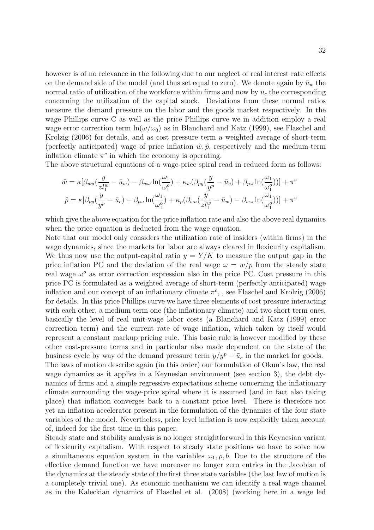however is of no relevance in the following due to our neglect of real interest rate effects on the demand side of the model (and thus set equal to zero). We denote again by  $\bar{u}_w$  the normal ratio of utilization of the workforce within firms and now by  $\bar{u}_c$  the corresponding concerning the utilization of the capital stock. Deviations from these normal ratios measure the demand pressure on the labor and the goods market respectively. In the wage Phillips curve C as well as the price Phillips curve we in addition employ a real wage error correction term  $\ln(\omega/\omega_0)$  as in Blanchard and Katz (1999), see Flaschel and Krolzig (2006) for details, and as cost pressure term a weighted average of short-term (perfectly anticipated) wage of price inflation  $\hat{w}, \hat{p}$ , respectively and the medium-term inflation climate  $\pi^c$  in which the economy is operating.

The above structural equations of a wage-price spiral read in reduced form as follows:

$$
\hat{w} = \kappa \left[ \beta_{wu} \left( \frac{y}{z l_1^w} - \bar{u}_w \right) - \beta_{w\omega} \ln \left( \frac{\omega_1}{\omega_1^o} \right) + \kappa_w \left( \beta_{py} \left( \frac{y}{y^p} - \bar{u}_c \right) + \beta_{p\omega} \ln \left( \frac{\omega_1}{\omega_1^o} \right) \right) \right] + \pi^c
$$
  

$$
\hat{p} = \kappa \left[ \beta_{py} \left( \frac{y}{y^p} - \bar{u}_c \right) + \beta_{pw} \ln \left( \frac{\omega_1}{\omega_1^o} \right) + \kappa_p \left( \beta_{wu} \left( \frac{y}{z l_1^w} - \bar{u}_w \right) - \beta_{w\omega} \ln \left( \frac{\omega_1}{\omega_1^o} \right) \right) \right] + \pi^c
$$

which give the above equation for the price inflation rate and also the above real dynamics when the price equation is deducted from the wage equation.

Note that our model only considers the utilization rate of insiders (within firms) in the wage dynamics, since the markets for labor are always cleared in flexicurity capitalism. We thus now use the output-capital ratio  $y = Y/K$  to measure the output gap in the price inflation PC and the deviation of the real wage  $\omega = w/p$  from the steady state real wage  $\omega^o$  as error correction expression also in the price PC. Cost pressure in this price PC is formulated as a weighted average of short-term (perfectly anticipated) wage inflation and our concept of an inflationary climate  $\pi^c$ , see Flaschel and Krolzig (2006) for details. In this price Phillips curve we have three elements of cost pressure interacting with each other, a medium term one (the inflationary climate) and two short term ones, basically the level of real unit-wage labor costs (a Blanchard and Katz (1999) error correction term) and the current rate of wage inflation, which taken by itself would represent a constant markup pricing rule. This basic rule is however modified by these other cost-pressure terms and in particular also made dependent on the state of the business cycle by way of the demand pressure term  $y/y^p - \bar{u}_c$  in the market for goods. The laws of motion describe again (in this order) our formulation of Okun's law, the real wage dynamics as it applies in a Keynesian environment (see section 3), the debt dynamics of firms and a simple regressive expectations scheme concerning the inflationary climate surrounding the wage-price spiral where it is assumed (and in fact also taking place) that inflation converges back to a constant price level. There is therefore not yet an inflation accelerator present in the formulation of the dynamics of the four state variables of the model. Nevertheless, price level inflation is now explicitly taken account of, indeed for the first time in this paper.

Steady state and stability analysis is no longer straightforward in this Keynesian variant of flexicurity capitalism. With respect to steady state positions we have to solve now a simultaneous equation system in the variables  $\omega_1$ ,  $\rho$ , b. Due to the structure of the effective demand function we have moreover no longer zero entries in the Jacobian of the dynamics at the steady state of the first three state variables (the last law of motion is a completely trivial one). As economic mechanism we can identify a real wage channel as in the Kaleckian dynamics of Flaschel et al. (2008) (working here in a wage led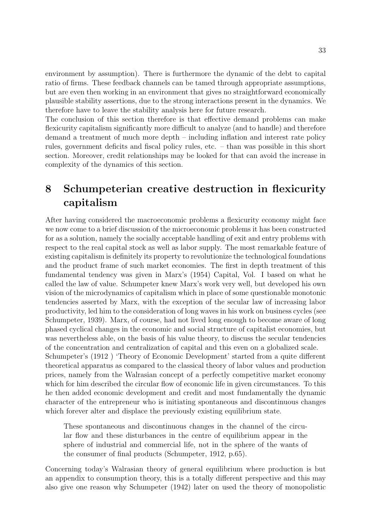environment by assumption). There is furthermore the dynamic of the debt to capital ratio of firms. These feedback channels can be tamed through appropriate assumptions, but are even then working in an environment that gives no straightforward economically plausible stability assertions, due to the strong interactions present in the dynamics. We therefore have to leave the stability analysis here for future research.

The conclusion of this section therefore is that effective demand problems can make flexicurity capitalism significantly more difficult to analyze (and to handle) and therefore demand a treatment of much more depth – including inflation and interest rate policy rules, government deficits and fiscal policy rules, etc. – than was possible in this short section. Moreover, credit relationships may be looked for that can avoid the increase in complexity of the dynamics of this section.

## 8 Schumpeterian creative destruction in flexicurity capitalism

After having considered the macroeconomic problems a flexicurity economy might face we now come to a brief discussion of the microeconomic problems it has been constructed for as a solution, namely the socially acceptable handling of exit and entry problems with respect to the real capital stock as well as labor supply. The most remarkable feature of existing capitalism is definitely its property to revolutionize the technological foundations and the product frame of such market economies. The first in depth treatment of this fundamental tendency was given in Marx's (1954) Capital, Vol. I based on what he called the law of value. Schumpeter knew Marx's work very well, but developed his own vision of the microdynamics of capitalism which in place of some questionable monotonic tendencies asserted by Marx, with the exception of the secular law of increasing labor productivity, led him to the consideration of long waves in his work on business cycles (see Schumpeter, 1939). Marx, of course, had not lived long enough to become aware of long phased cyclical changes in the economic and social structure of capitalist economies, but was nevertheless able, on the basis of his value theory, to discuss the secular tendencies of the concentration and centralization of capital and this even on a globalized scale. Schumpeter's (1912 ) 'Theory of Economic Development' started from a quite different theoretical apparatus as compared to the classical theory of labor values and production prices, namely from the Walrasian concept of a perfectly competitive market economy which for him described the circular flow of economic life in given circumstances. To this he then added economic development and credit and most fundamentally the dynamic character of the entrepreneur who is initiating spontaneous and discontinuous changes which forever alter and displace the previously existing equilibrium state.

These spontaneous and discontinuous changes in the channel of the circular flow and these disturbances in the centre of equilibrium appear in the sphere of industrial and commercial life, not in the sphere of the wants of the consumer of final products (Schumpeter, 1912, p.65).

Concerning today's Walrasian theory of general equilibrium where production is but an appendix to consumption theory, this is a totally different perspective and this may also give one reason why Schumpeter (1942) later on used the theory of monopolistic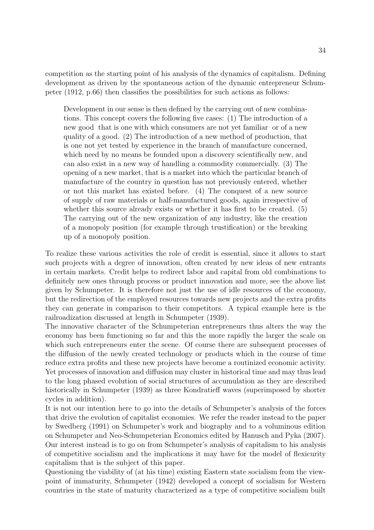competition as the starting point of his analysis of the dynamics of capitalism. Defining development as driven by the spontaneous action of the dynamic entrepreneur Schumpeter (1912, p.66) then classifies the possibilities for such actions as follows:

Development in our sense is then defined by the carrying out of new combinations. This concept covers the following five cases: (1) The introduction of a new good that is one with which consumers are not yet familiar or of a new quality of a good. (2) The introduction of a new method of production, that is one not yet tested by experience in the branch of manufacture concerned, which need by no means be founded upon a discovery scientifically new, and can also exist in a new way of handling a commodity commercially. (3) The opening of a new market, that is a market into which the particular branch of manufacture of the country in question has not previously entered, whether or not this market has existed before. (4) The conquest of a new source of supply of raw materials or half-manufactured goods, again irrespective of whether this source already exists or whether it has first to be created. (5) The carrying out of the new organization of any industry, like the creation of a monopoly position (for example through trustification) or the breaking up of a monopoly position.

To realize these various activities the role of credit is essential, since it allows to start such projects with a degree of innovation, often created by new ideas of new entrants in certain markets. Credit helps to redirect labor and capital from old combinations to definitely new ones through process or product innovation and more, see the above list given by Schumpeter. It is therefore not just the use of idle resources of the economy, but the redirection of the employed resources towards new projects and the extra profits they can generate in comparison to their competitors. A typical example here is the railroadization discussed at length in Schumpeter (1939).

The innovative character of the Schumpeterian entrepreneurs thus alters the way the economy has been functioning so far and this the more rapidly the larger the scale on which such entrepreneurs enter the scene. Of course there are subsequent processes of the diffusion of the newly created technology or products which in the course of time reduce extra profits and these new projects have become a routinized economic activity. Yet processes of innovation and diffusion may cluster in historical time and may thus lead to the long phased evolution of social structures of accumulation as they are described historically in Schumpeter (1939) as three Kondratieff waves (superimposed by shorter cycles in addition).

It is not our intention here to go into the details of Schumpeter's analysis of the forces that drive the evolution of capitalist economies. We refer the reader instead to the paper by Swedberg (1991) on Schumpeter's work and biography and to a voluminous edition on Schumpeter and Neo-Schumpeterian Economics edited by Hanusch and Pyka (2007). Our interest instead is to go on from Schumpeter's analysis of capitalism to his analysis of competitive socialism and the implications it may have for the model of flexicurity capitalism that is the subject of this paper.

Questioning the viability of (at his time) existing Eastern state socialism from the viewpoint of immaturity, Schumpeter (1942) developed a concept of socialism for Western countries in the state of maturity characterized as a type of competitive socialism built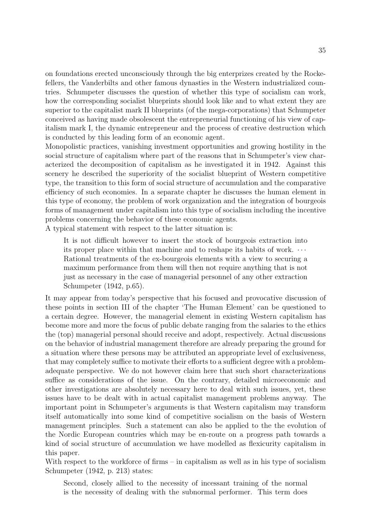on foundations erected unconsciously through the big enterprizes created by the Rockefellers, the Vanderbilts and other famous dynasties in the Western industrialized countries. Schumpeter discusses the question of whether this type of socialism can work, how the corresponding socialist blueprints should look like and to what extent they are superior to the capitalist mark II blueprints (of the mega-corporations) that Schumpeter conceived as having made obsolescent the entrepreneurial functioning of his view of capitalism mark I, the dynamic entrepreneur and the process of creative destruction which is conducted by this leading form of an economic agent.

Monopolistic practices, vanishing investment opportunities and growing hostility in the social structure of capitalism where part of the reasons that in Schumpeter's view characterized the decomposition of capitalism as he investigated it in 1942. Against this scenery he described the superiority of the socialist blueprint of Western competitive type, the transition to this form of social structure of accumulation and the comparative efficiency of such economies. In a separate chapter he discusses the human element in this type of economy, the problem of work organization and the integration of bourgeois forms of management under capitalism into this type of socialism including the incentive problems concerning the behavior of these economic agents. A typical statement with respect to the latter situation is:

It is not difficult however to insert the stock of bourgeois extraction into its proper place within that machine and to reshape its habits of work.  $\cdots$ Rational treatments of the ex-bourgeois elements with a view to securing a maximum performance from them will then not require anything that is not just as necessary in the case of managerial personnel of any other extraction Schumpeter (1942, p.65).

It may appear from today's perspective that his focused and provocative discussion of these points in section III of the chapter 'The Human Element' can be questioned to a certain degree. However, the managerial element in existing Western capitalism has become more and more the focus of public debate ranging from the salaries to the ethics the (top) managerial personal should receive and adopt, respectively. Actual discussions on the behavior of industrial management therefore are already preparing the ground for a situation where these persons may be attributed an appropriate level of exclusiveness, that may completely suffice to motivate their efforts to a sufficient degree with a problemadequate perspective. We do not however claim here that such short characterizations suffice as considerations of the issue. On the contrary, detailed microeconomic and other investigations are absolutely necessary here to deal with such issues, yet, these issues have to be dealt with in actual capitalist management problems anyway. The important point in Schumpeter's arguments is that Western capitalism may transform itself automatically into some kind of competitive socialism on the basis of Western management principles. Such a statement can also be applied to the the evolution of the Nordic European countries which may be en-route on a progress path towards a kind of social structure of accumulation we have modelled as flexicurity capitalism in this paper.

With respect to the workforce of firms – in capitalism as well as in his type of socialism Schumpeter (1942, p. 213) states:

Second, closely allied to the necessity of incessant training of the normal is the necessity of dealing with the subnormal performer. This term does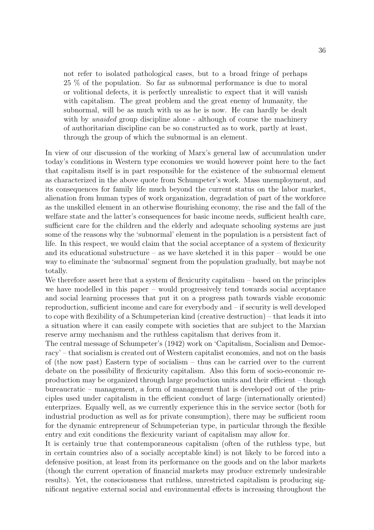not refer to isolated pathological cases, but to a broad fringe of perhaps 25 % of the population. So far as subnormal performance is due to moral or volitional defects, it is perfectly unrealistic to expect that it will vanish with capitalism. The great problem and the great enemy of humanity, the subnormal, will be as much with us as he is now. He can hardly be dealt with by *unaided* group discipline alone - although of course the machinery of authoritarian discipline can be so constructed as to work, partly at least, through the group of which the subnormal is an element.

In view of our discussion of the working of Marx's general law of accumulation under today's conditions in Western type economies we would however point here to the fact that capitalism itself is in part responsible for the existence of the subnormal element as characterized in the above quote from Schumpeter's work. Mass unemployment, and its consequences for family life much beyond the current status on the labor market, alienation from human types of work organization, degradation of part of the workforce as the unskilled element in an otherwise flourishing economy, the rise and the fall of the welfare state and the latter's consequences for basic income needs, sufficient health care, sufficient care for the children and the elderly and adequate schooling systems are just some of the reasons why the 'subnormal' element in the population is a persistent fact of life. In this respect, we would claim that the social acceptance of a system of flexicurity and its educational substructure – as we have sketched it in this paper – would be one way to eliminate the 'subnormal' segment from the population gradually, but maybe not totally.

We therefore assert here that a system of flexicurity capitalism – based on the principles we have modelled in this paper – would progressively tend towards social acceptance and social learning processes that put it on a progress path towards viable economic reproduction, sufficient income and care for everybody and – if security is well developed to cope with flexibility of a Schumpeterian kind (creative destruction) – that leads it into a situation where it can easily compete with societies that are subject to the Marxian reserve army mechanism and the ruthless capitalism that derives from it.

The central message of Schumpeter's (1942) work on 'Capitalism, Socialism and Democracy' – that socialism is created out of Western capitalist economies, and not on the basis of (the now past) Eastern type of socialism – thus can be carried over to the current debate on the possibility of flexicurity capitalism. Also this form of socio-economic reproduction may be organized through large production units and their efficient – though bureaucratic – management, a form of management that is developed out of the principles used under capitalism in the efficient conduct of large (internationally oriented) enterprizes. Equally well, as we currently experience this in the service sector (both for industrial production as well as for private consumption), there may be sufficient room for the dynamic entrepreneur of Schumpeterian type, in particular through the flexible entry and exit conditions the flexicurity variant of capitalism may allow for.

It is certainly true that contemporaneous capitalism (often of the ruthless type, but in certain countries also of a socially acceptable kind) is not likely to be forced into a defensive position, at least from its performance on the goods and on the labor markets (though the current operation of financial markets may produce extremely undesirable results). Yet, the consciousness that ruthless, unrestricted capitalism is producing significant negative external social and environmental effects is increasing throughout the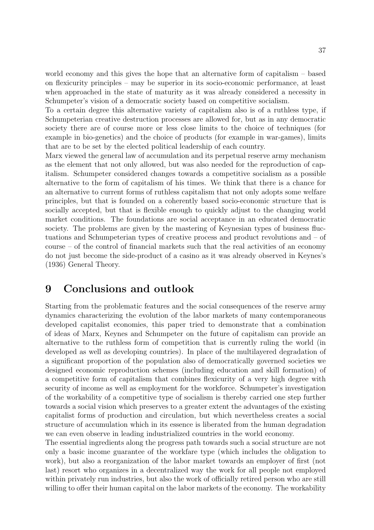world economy and this gives the hope that an alternative form of capitalism – based on flexicurity principles – may be superior in its socio-economic performance, at least when approached in the state of maturity as it was already considered a necessity in Schumpeter's vision of a democratic society based on competitive socialism.

To a certain degree this alternative variety of capitalism also is of a ruthless type, if Schumpeterian creative destruction processes are allowed for, but as in any democratic society there are of course more or less close limits to the choice of techniques (for example in bio-genetics) and the choice of products (for example in war-games), limits that are to be set by the elected political leadership of each country.

Marx viewed the general law of accumulation and its perpetual reserve army mechanism as the element that not only allowed, but was also needed for the reproduction of capitalism. Schumpeter considered changes towards a competitive socialism as a possible alternative to the form of capitalism of his times. We think that there is a chance for an alternative to current forms of ruthless capitalism that not only adopts some welfare principles, but that is founded on a coherently based socio-economic structure that is socially accepted, but that is flexible enough to quickly adjust to the changing world market conditions. The foundations are social acceptance in an educated democratic society. The problems are given by the mastering of Keynesian types of business fluctuations and Schumpeterian types of creative process and product revolutions and – of course – of the control of financial markets such that the real activities of an economy do not just become the side-product of a casino as it was already observed in Keynes's (1936) General Theory.

## 9 Conclusions and outlook

Starting from the problematic features and the social consequences of the reserve army dynamics characterizing the evolution of the labor markets of many contemporaneous developed capitalist economies, this paper tried to demonstrate that a combination of ideas of Marx, Keynes and Schumpeter on the future of capitalism can provide an alternative to the ruthless form of competition that is currently ruling the world (in developed as well as developing countries). In place of the multilayered degradation of a significant proportion of the population also of democratically governed societies we designed economic reproduction schemes (including education and skill formation) of a competitive form of capitalism that combines flexicurity of a very high degree with security of income as well as employment for the workforce. Schumpeter's investigation of the workability of a competitive type of socialism is thereby carried one step further towards a social vision which preserves to a greater extent the advantages of the existing capitalist forms of production and circulation, but which nevertheless creates a social structure of accumulation which in its essence is liberated from the human degradation we can even observe in leading industrialized countries in the world economy.

The essential ingredients along the progress path towards such a social structure are not only a basic income guarantee of the workfare type (which includes the obligation to work), but also a reorganization of the labor market towards an employer of first (not last) resort who organizes in a decentralized way the work for all people not employed within privately run industries, but also the work of officially retired person who are still willing to offer their human capital on the labor markets of the economy. The workability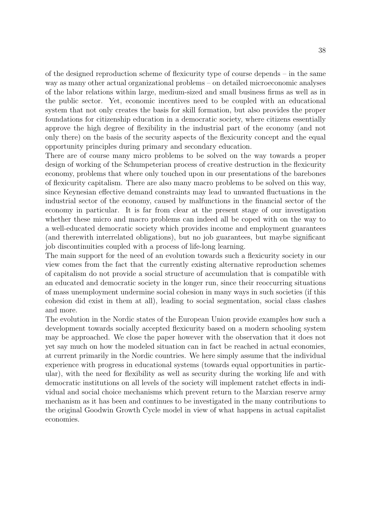of the designed reproduction scheme of flexicurity type of course depends – in the same way as many other actual organizational problems – on detailed microeconomic analyses of the labor relations within large, medium-sized and small business firms as well as in the public sector. Yet, economic incentives need to be coupled with an educational system that not only creates the basis for skill formation, but also provides the proper foundations for citizenship education in a democratic society, where citizens essentially approve the high degree of flexibility in the industrial part of the economy (and not only there) on the basis of the security aspects of the flexicurity concept and the equal opportunity principles during primary and secondary education.

There are of course many micro problems to be solved on the way towards a proper design of working of the Schumpeterian process of creative destruction in the flexicurity economy, problems that where only touched upon in our presentations of the barebones of flexicurity capitalism. There are also many macro problems to be solved on this way, since Keynesian effective demand constraints may lead to unwanted fluctuations in the industrial sector of the economy, caused by malfunctions in the financial sector of the economy in particular. It is far from clear at the present stage of our investigation whether these micro and macro problems can indeed all be coped with on the way to a well-educated democratic society which provides income and employment guarantees (and therewith interrelated obligations), but no job guarantees, but maybe significant job discontinuities coupled with a process of life-long learning.

The main support for the need of an evolution towards such a flexicurity society in our view comes from the fact that the currently existing alternative reproduction schemes of capitalism do not provide a social structure of accumulation that is compatible with an educated and democratic society in the longer run, since their reoccurring situations of mass unemployment undermine social cohesion in many ways in such societies (if this cohesion did exist in them at all), leading to social segmentation, social class clashes and more.

The evolution in the Nordic states of the European Union provide examples how such a development towards socially accepted flexicurity based on a modern schooling system may be approached. We close the paper however with the observation that it does not yet say much on how the modeled situation can in fact be reached in actual economies, at current primarily in the Nordic countries. We here simply assume that the individual experience with progress in educational systems (towards equal opportunities in particular), with the need for flexibility as well as security during the working life and with democratic institutions on all levels of the society will implement ratchet effects in individual and social choice mechanisms which prevent return to the Marxian reserve army mechanism as it has been and continues to be investigated in the many contributions to the original Goodwin Growth Cycle model in view of what happens in actual capitalist economies.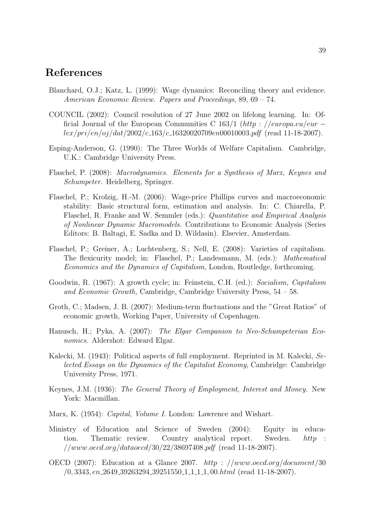### References

- Blanchard, O.J.; Katz, L. (1999): Wage dynamics: Reconciling theory and evidence. American Economic Review. Papers and Proceedings, 89, 69 – 74.
- COUNCIL (2002): Council resolution of 27 June 2002 on lifelong learning. In: Official Journal of the European Communities C 163/1 (http://europa.eu/eur −  $lex/pri/en/oj/dat/2002/c_163/c_16320020709en00010003.pdf$  (read 11-18-2007).
- Esping-Anderson, G. (1990): The Three Worlds of Welfare Capitalism. Cambridge, U.K.: Cambridge University Press.
- Flaschel, P. (2008): Macrodynamics. Elements for a Synthesis of Marx, Keynes and Schumpeter. Heidelberg, Springer.
- Flaschel, P.; Krolzig, H.-M. (2006): Wage-price Phillips curves and macroeconomic stability: Basic structural form, estimation and analysis. In: C. Chiarella, P. Flaschel, R. Franke and W. Semmler (eds.): Quantitative and Empirical Analysis of Nonlinear Dynamic Macromodels. Contributions to Economic Analysis (Series Editors: B. Baltagi, E. Sadka and D. Wildasin). Elsevier, Amsterdam.
- Flaschel, P.; Greiner, A.; Luchtenberg, S.; Nell, E. (2008): Varieties of capitalism. The flexicurity model; in: Flaschel, P.; Landesmann, M. (eds.): Mathematical Economics and the Dynamics of Capitalism, London, Routledge, forthcoming.
- Goodwin, R. (1967): A growth cycle; in: Feinstein, C.H. (ed.): Socialism, Capitalism and Economic Growth, Cambridge, Cambridge University Press, 54 – 58.
- Groth, C.; Madsen, J. B. (2007): Medium-term fluctuations and the "Great Ratios" of economic growth, Working Paper, University of Copenhagen.
- Hanusch, H.; Pyka, A. (2007): The Elgar Companion to Neo-Schumpeterian Economics. Aldershot: Edward Elgar.
- Kalecki, M. (1943): Political aspects of full employment. Reprinted in M. Kalecki, Selected Essays on the Dynamics of the Capitalist Economy, Cambridge: Cambridge University Press, 1971.
- Keynes, J.M. (1936): The General Theory of Employment, Interest and Money. New York: Macmillan.
- Marx, K. (1954): Capital, Volume I. London: Lawrence and Wishart.
- Ministry of Education and Science of Sweden (2004): Equity in education. Thematic review. Country analytical report. Sweden. http :  $1/www.oecd.org/dataoecd/30/22/38697408.pdf$  (read 11-18-2007).
- OECD (2007): Education at a Glance 2007. http : //www.oecd.org/document/30  $(0, 3343, en \text{0.2649} \text{0.39263294} \text{0.39251550} \text{0.1} \text{0.11} \text{0.1} \text{0.1} \text{0.1} \text{0.1} \text{0.1} \text{0.1} \text{0.1} \text{0.1} \text{0.1} \text{0.1} \text{0.1} \text{0.1} \text{0.1} \text{0.1} \text{0.1} \text{0.1} \text{0.1} \text{0.1} \text{0.1} \text{0.1} \text{0.1} \text{0.1} \text{$